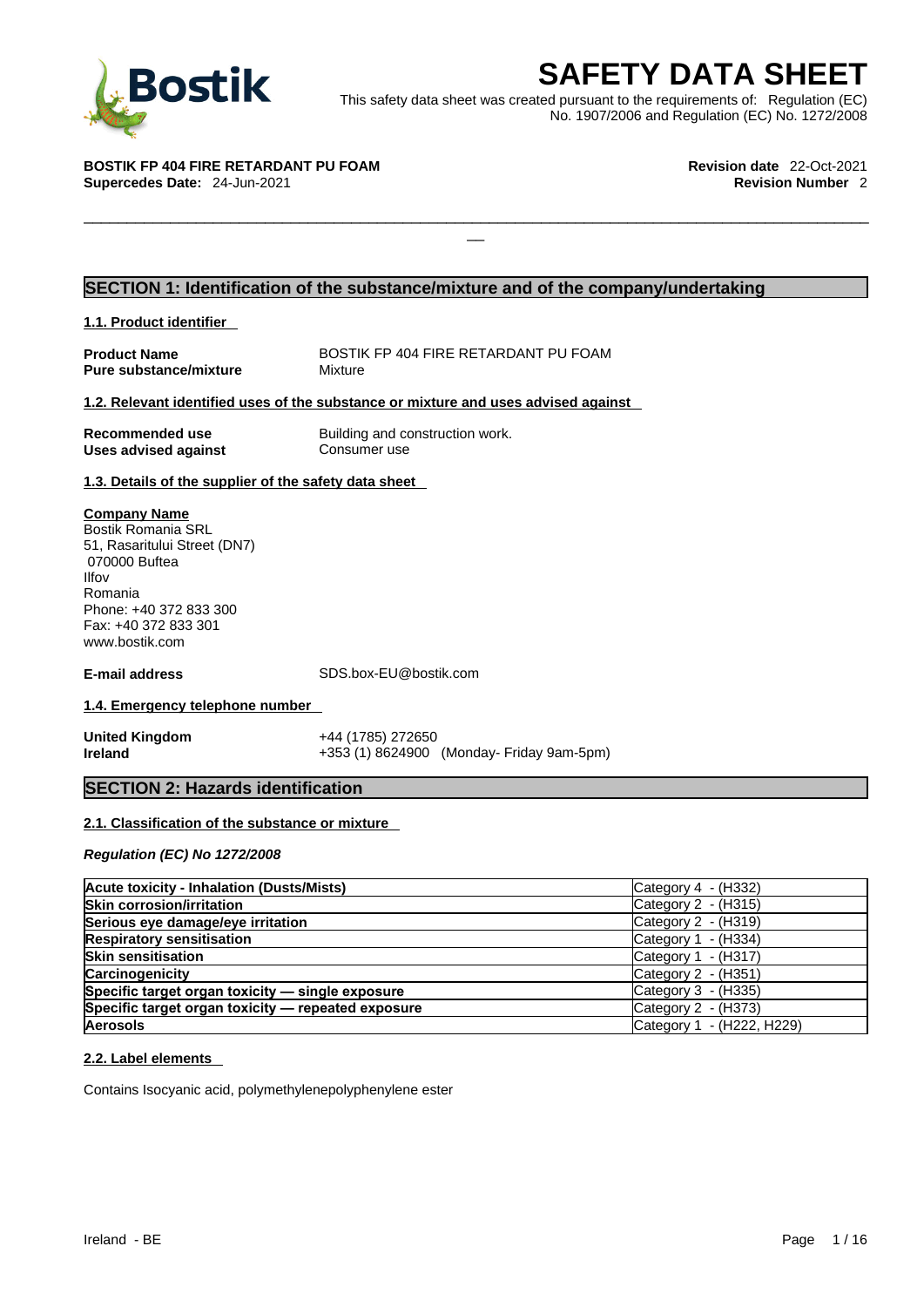

**SAFETY DATA SHEET**<br>
et was created pursuant to the requirements of: Regulation (EC)<br>
No. 1907/2006 and Regulation (EC) No. 1272/2008<br>
Revision date 22-Oct-2021<br>
Revision Number 2 This safety data sheet was created pursuant to the requirements of: Regulation (EC) No. 1907/2006 and Regulation (EC) No. 1272/2008

 $\Box$ 

**BOSTIK FP 404 FIRE RETARDANT PU FOAM Revision date** 22-Oct-2021 **Supercedes Date: 24-Jun-2021** 

## **SECTION 1: Identification of the substance/mixture and of the company/undertaking**

**1.1. Product identifier** 

**Pure substance/mixture** Mixture

**Product Name** BOSTIK FP 404 FIRE RETARDANT PU FOAM

### **1.2. Relevant identified uses of the substance or mixture and uses advised against**

**Uses** advised against

**Recommended use** Building and construction work.<br> **Uses advised against** Consumer use

### **1.3. Details of the supplier of the safety data sheet**

**Company Name** Bostik Romania SRL 51, Rasaritului Street (DN7) 070000 Buftea Ilfov Romania Phone: +40 372 833 300 Fax: +40 372 833 301 www.bostik.com

**E-mail address** SDS.box-EU@bostik.com

### **1.4. Emergency telephone number**

**United Kingdom** +44 (1785) 272650<br> **Ireland** +353 (1) 8624900

**Ireland** +353 (1) 8624900 (Monday- Friday 9am-5pm)

### **SECTION 2: Hazards identification**

### **2.1. Classification of the substance or mixture**

*Regulation (EC) No 1272/2008* 

| <b>Acute toxicity - Inhalation (Dusts/Mists)</b>   | Category $4 - (H332)$     |
|----------------------------------------------------|---------------------------|
| <b>Skin corrosion/irritation</b>                   | Category $2 - (H315)$     |
| Serious eye damage/eye irritation                  | Category $2 - (H319)$     |
| <b>Respiratory sensitisation</b>                   | Category $1 - (H334)$     |
| <b>Skin sensitisation</b>                          | Category $1 - (H317)$     |
| <b>Carcinogenicity</b>                             | Category $2 - (H351)$     |
| Specific target organ toxicity - single exposure   | Category $3 - (H335)$     |
| Specific target organ toxicity - repeated exposure | Category $2 - (H373)$     |
| <b>Aerosols</b>                                    | Category 1 - (H222, H229) |

### **2.2. Label elements**

Contains Isocyanic acid, polymethylenepolyphenylene ester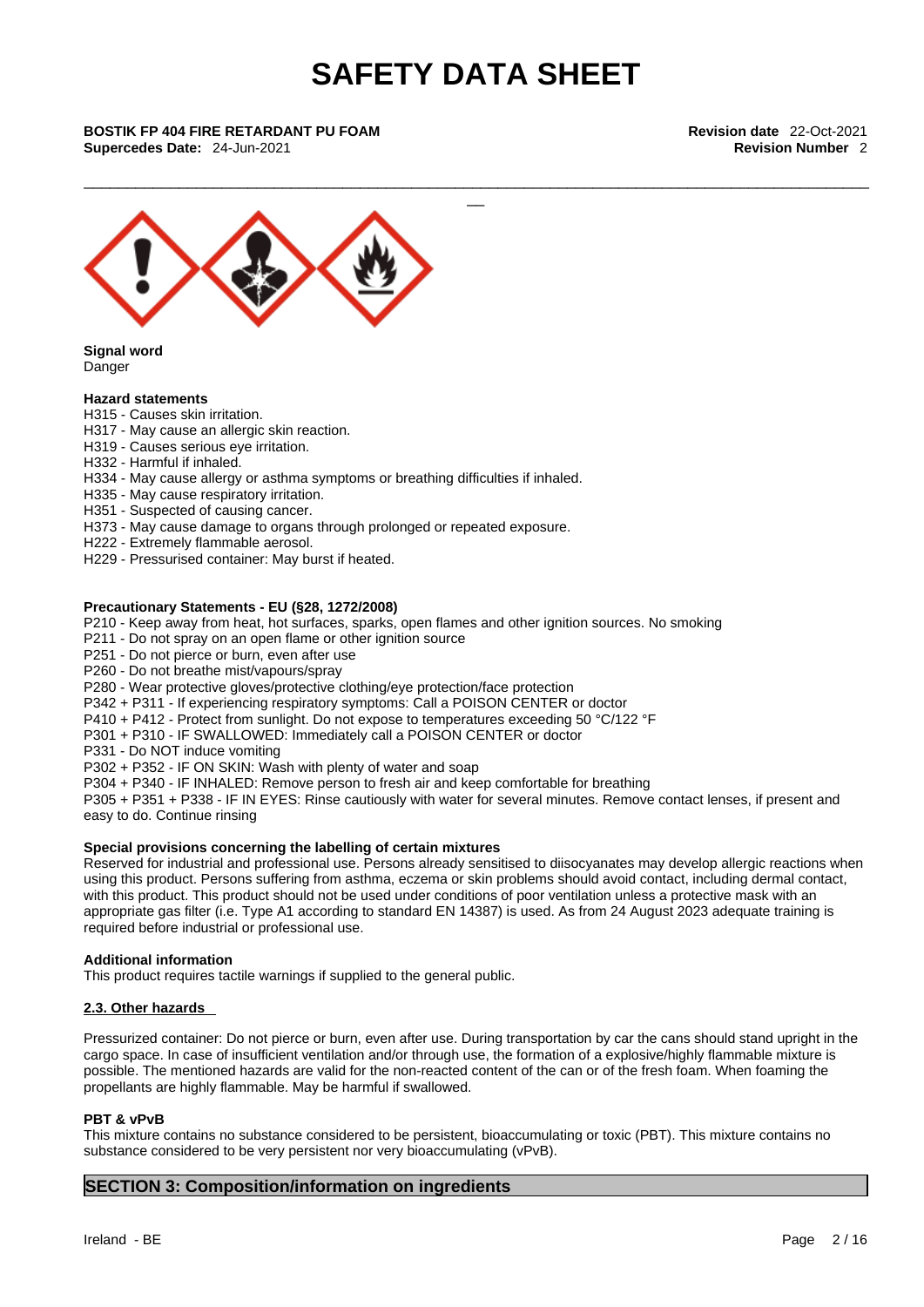\_\_\_\_\_\_\_\_\_\_\_\_\_\_\_\_\_\_\_\_\_\_\_\_\_\_\_\_\_\_\_\_\_\_\_\_\_\_\_\_\_\_\_\_\_\_\_\_\_\_\_\_\_\_\_\_\_\_\_\_\_\_\_\_\_\_\_\_\_\_\_\_\_\_\_\_\_\_\_\_\_\_\_\_\_\_\_\_\_\_\_

**Supercedes Date:** 24-Jun-2021 **Revision Number** 2



**Signal word** Danger

### **Hazard statements**

- H315 Causes skin irritation.
- H317 May cause an allergic skin reaction.
- H319 Causes serious eye irritation.
- H332 Harmful if inhaled.
- H334 May cause allergy or asthma symptoms or breathing difficulties if inhaled.
- H335 May cause respiratory irritation.
- H351 Suspected of causing cancer.
- H373 May cause damage to organs through prolonged or repeated exposure.
- H222 Extremely flammable aerosol.
- H229 Pressurised container: May burst if heated.

### **Precautionary Statements - EU (§28, 1272/2008)**

- P210 Keep away from heat, hot surfaces, sparks, open flames and other ignition sources. No smoking
- P211 Do not spray on an open flame or other ignition source
- P251 Do not pierce or burn, even after use
- P260 Do not breathe mist/vapours/spray

P280 - Wear protective gloves/protective clothing/eye protection/face protection

- P342 + P311 If experiencing respiratory symptoms: Call a POISON CENTER or doctor
- P410 + P412 Protect from sunlight. Do not expose to temperatures exceeding 50 °C/122 °F
- P301 + P310 IF SWALLOWED: Immediately call a POISON CENTER or doctor
- P331 Do NOT induce vomiting
- P302 + P352 IF ON SKIN: Wash with plenty of water and soap
- P304 + P340 IF INHALED: Remove person to fresh air and keep comfortable for breathing

P305 + P351 + P338 - IF IN EYES: Rinse cautiously with water for several minutes. Remove contact lenses, if present and easy to do. Continue rinsing

### **Special provisions concerning the labelling of certain mixtures**

Reserved for industrial and professional use. Persons already sensitised to diisocyanates may develop allergic reactions when using this product. Persons suffering from asthma, eczema or skin problems should avoid contact, including dermal contact, with this product. This product should not be used under conditions of poor ventilation unless a protective mask with an appropriate gas filter (i.e. Type A1 according to standard EN 14387) is used. As from 24 August 2023 adequate training is required before industrial or professional use.

### **Additional information**

This product requires tactile warnings if supplied to the general public.

### **2.3. Other hazards**

Pressurized container: Do not pierce or burn, even after use. During transportation by car the cans should stand upright in the cargo space. In case of insufficient ventilation and/or through use, the formation of a explosive/highly flammable mixture is possible. The mentioned hazards are valid for the non-reacted content of the can or of the fresh foam.When foaming the propellants are highly flammable. May be harmful if swallowed.

### **PBT & vPvB**

This mixture contains no substance considered to be persistent, bioaccumulating or toxic (PBT). This mixture contains no substance considered to be very persistent nor very bioaccumulating (vPvB).

### **SECTION 3: Composition/information on ingredients**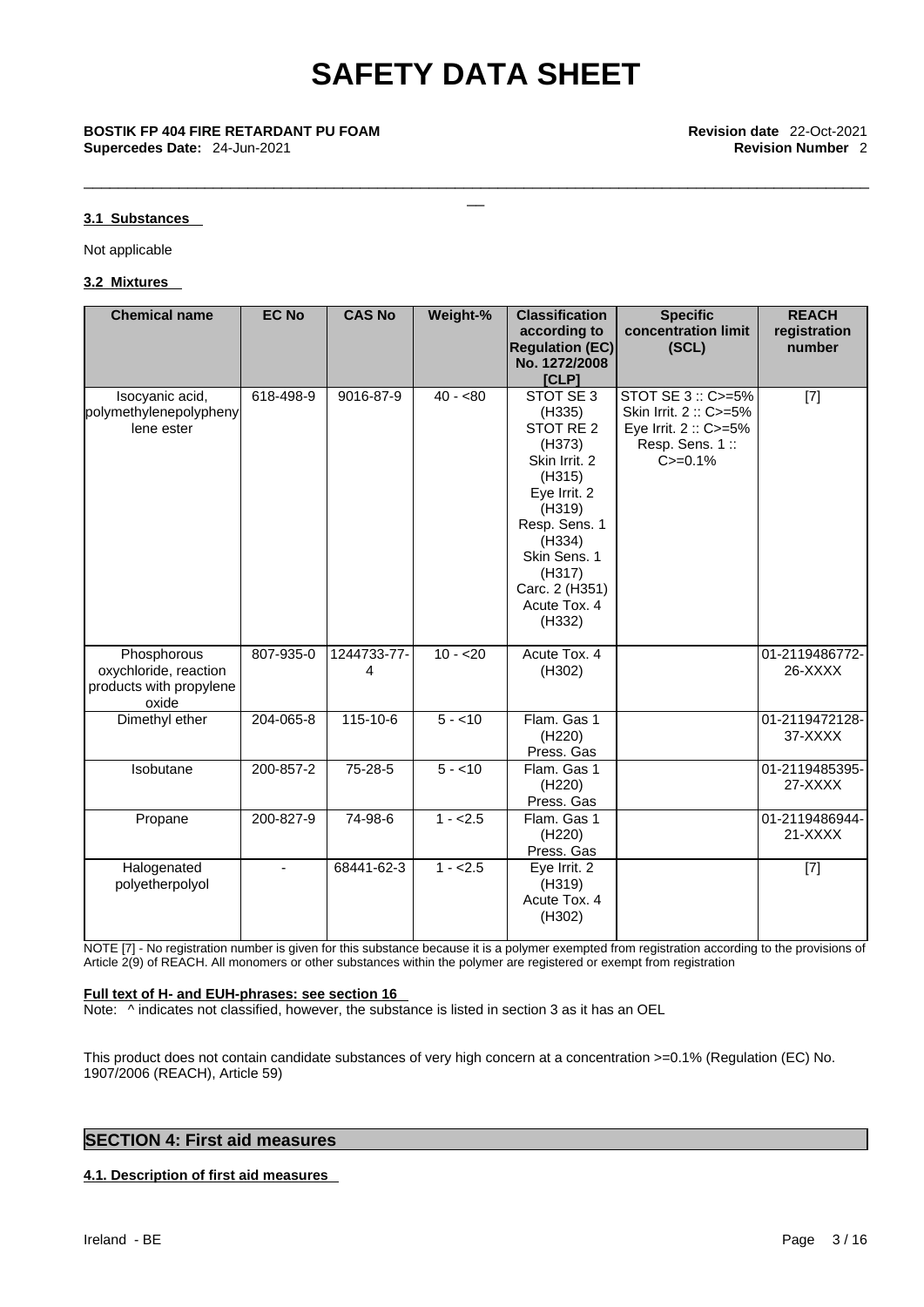\_\_\_\_\_\_\_\_\_\_\_\_\_\_\_\_\_\_\_\_\_\_\_\_\_\_\_\_\_\_\_\_\_\_\_\_\_\_\_\_\_\_\_\_\_\_\_\_\_\_\_\_\_\_\_\_\_\_\_\_\_\_\_\_\_\_\_\_\_\_\_\_\_\_\_\_\_\_\_\_\_\_\_\_\_\_\_\_\_\_\_

### **3.1 Substances**

Not applicable

### **3.2 Mixtures**

| <b>Chemical name</b>                                                     | <b>EC No</b> | <b>CAS No</b>    | Weight-%  | <b>Classification</b>                                                                                                                                                                                       | <b>Specific</b>                                                                                   | <b>REACH</b>              |
|--------------------------------------------------------------------------|--------------|------------------|-----------|-------------------------------------------------------------------------------------------------------------------------------------------------------------------------------------------------------------|---------------------------------------------------------------------------------------------------|---------------------------|
|                                                                          |              |                  |           | according to<br><b>Regulation (EC)</b><br>No. 1272/2008<br>[CLP]                                                                                                                                            | concentration limit<br>(SCL)                                                                      | registration<br>number    |
| Isocyanic acid,<br>polymethylenepolypheny<br>lene ester                  | 618-498-9    | 9016-87-9        | $40 - 80$ | STOT SE 3<br>(H335)<br>STOT RE <sub>2</sub><br>(H373)<br>Skin Irrit. 2<br>(H315)<br>Eye Irrit. 2<br>(H319)<br>Resp. Sens. 1<br>(H334)<br>Skin Sens. 1<br>(H317)<br>Carc. 2 (H351)<br>Acute Tox. 4<br>(H332) | STOT SE 3: C>=5%<br>Skin Irrit. 2: C>=5%<br>Eye Irrit. 2 :: C>=5%<br>Resp. Sens. 1:<br>$C = 0.1%$ | $[7]$                     |
| Phosphorous<br>oxychloride, reaction<br>products with propylene<br>oxide | 807-935-0    | 1244733-77-<br>4 | $10 - 20$ | Acute Tox. 4<br>(H302)                                                                                                                                                                                      |                                                                                                   | 01-2119486772-<br>26-XXXX |
| Dimethyl ether                                                           | 204-065-8    | 115-10-6         | $5 - 10$  | Flam. Gas 1<br>(H220)<br>Press. Gas                                                                                                                                                                         |                                                                                                   | 01-2119472128-<br>37-XXXX |
| Isobutane                                                                | 200-857-2    | 75-28-5          | $5 - 10$  | Flam. Gas 1<br>(H220)<br>Press. Gas                                                                                                                                                                         |                                                                                                   | 01-2119485395-<br>27-XXXX |
| Propane                                                                  | 200-827-9    | 74-98-6          | $1 - 2.5$ | Flam. Gas 1<br>(H220)<br>Press. Gas                                                                                                                                                                         |                                                                                                   | 01-2119486944-<br>21-XXXX |
| Halogenated<br>polyetherpolyol                                           | $\sim$       | 68441-62-3       | $1 - 2.5$ | Eye Irrit. 2<br>(H319)<br>Acute Tox. 4<br>(H302)                                                                                                                                                            |                                                                                                   | $[7]$                     |

NOTE [7] - No registration number is given for this substance because it is a polymer exempted from registration according to the provisions of Article 2(9) of REACH. All monomers or other substances within the polymer are registered or exempt from registration

### **Full text of H- and EUH-phrases: see section 16**

Note:  $\wedge$  indicates not classified, however, the substance is listed in section 3 as it has an OEL

This product does not contain candidate substances of very high concern at a concentration >=0.1% (Regulation (EC) No. 1907/2006 (REACH), Article 59)

### **SECTION 4: First aid measures**

### **4.1. Description of first aid measures**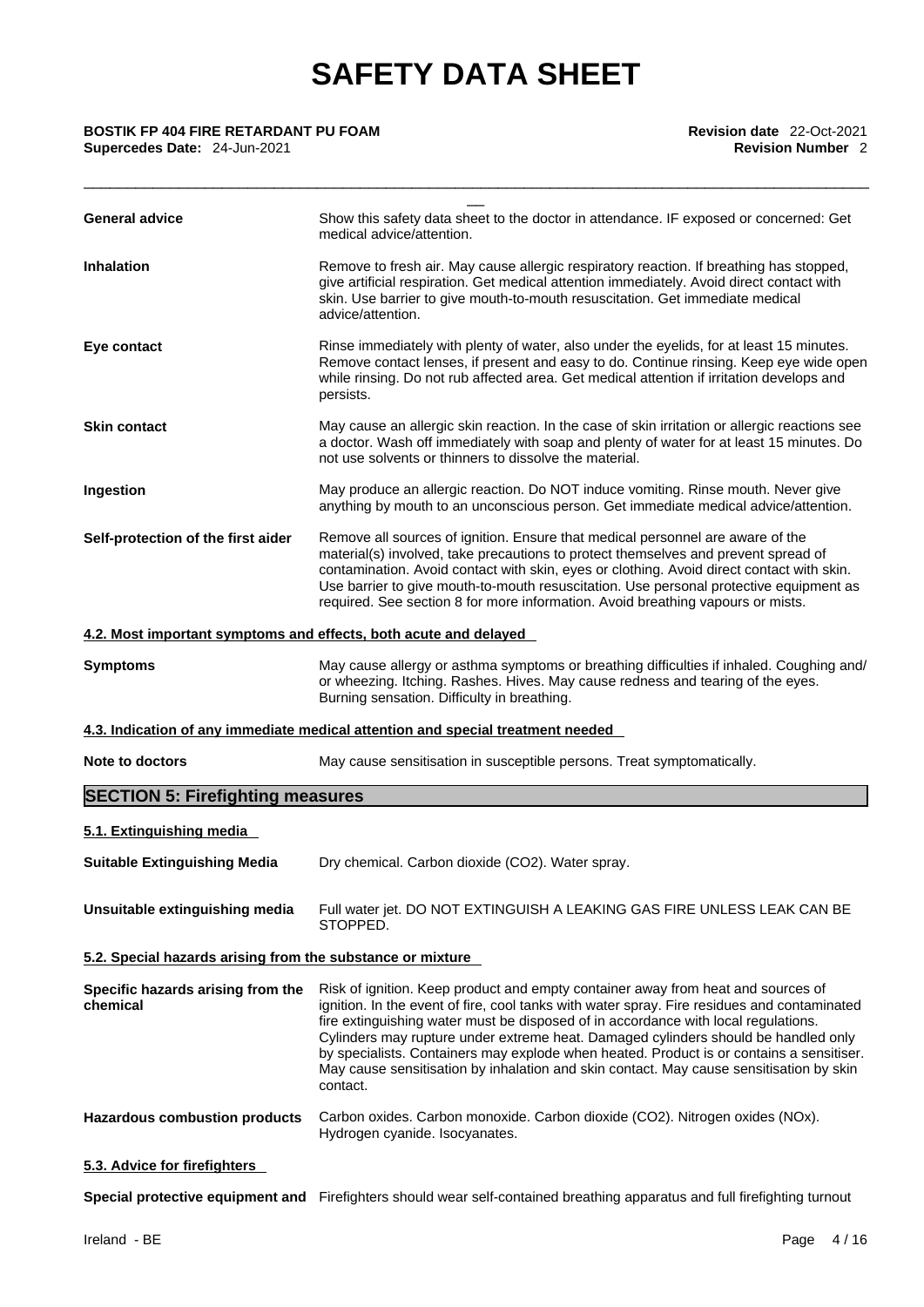| <b>BOSTIK FP 404 FIRE RETARDANT PU FOAM</b> | <b>Revision date</b> 22-Oct-2021 |
|---------------------------------------------|----------------------------------|
| <b>Supercedes Date: 24-Jun-2021</b>         | <b>Revision Number 2</b>         |

| <b>BOSTIK FP 404 FIRE RETARDANT PU FOAM</b><br>Supercedes Date: 24-Jun-2021 | Revision date 22-Oct-2021<br><b>Revision Number 2</b>                                                                                                                                                                                                                                                                                                                                                                                                                                                                                                          |
|-----------------------------------------------------------------------------|----------------------------------------------------------------------------------------------------------------------------------------------------------------------------------------------------------------------------------------------------------------------------------------------------------------------------------------------------------------------------------------------------------------------------------------------------------------------------------------------------------------------------------------------------------------|
| <b>General advice</b>                                                       | Show this safety data sheet to the doctor in attendance. IF exposed or concerned: Get<br>medical advice/attention.                                                                                                                                                                                                                                                                                                                                                                                                                                             |
| <b>Inhalation</b>                                                           | Remove to fresh air. May cause allergic respiratory reaction. If breathing has stopped,<br>give artificial respiration. Get medical attention immediately. Avoid direct contact with<br>skin. Use barrier to give mouth-to-mouth resuscitation. Get immediate medical<br>advice/attention.                                                                                                                                                                                                                                                                     |
| Eye contact                                                                 | Rinse immediately with plenty of water, also under the eyelids, for at least 15 minutes.<br>Remove contact lenses, if present and easy to do. Continue rinsing. Keep eye wide open<br>while rinsing. Do not rub affected area. Get medical attention if irritation develops and<br>persists.                                                                                                                                                                                                                                                                   |
| <b>Skin contact</b>                                                         | May cause an allergic skin reaction. In the case of skin irritation or allergic reactions see<br>a doctor. Wash off immediately with soap and plenty of water for at least 15 minutes. Do<br>not use solvents or thinners to dissolve the material.                                                                                                                                                                                                                                                                                                            |
| Ingestion                                                                   | May produce an allergic reaction. Do NOT induce vomiting. Rinse mouth. Never give<br>anything by mouth to an unconscious person. Get immediate medical advice/attention.                                                                                                                                                                                                                                                                                                                                                                                       |
| Self-protection of the first aider                                          | Remove all sources of ignition. Ensure that medical personnel are aware of the<br>material(s) involved, take precautions to protect themselves and prevent spread of<br>contamination. Avoid contact with skin, eyes or clothing. Avoid direct contact with skin.<br>Use barrier to give mouth-to-mouth resuscitation. Use personal protective equipment as<br>required. See section 8 for more information. Avoid breathing vapours or mists.                                                                                                                 |
| 4.2. Most important symptoms and effects, both acute and delayed            |                                                                                                                                                                                                                                                                                                                                                                                                                                                                                                                                                                |
| <b>Symptoms</b>                                                             | May cause allergy or asthma symptoms or breathing difficulties if inhaled. Coughing and/<br>or wheezing. Itching. Rashes. Hives. May cause redness and tearing of the eyes.<br>Burning sensation. Difficulty in breathing.                                                                                                                                                                                                                                                                                                                                     |
|                                                                             | 4.3. Indication of any immediate medical attention and special treatment needed                                                                                                                                                                                                                                                                                                                                                                                                                                                                                |
| Note to doctors                                                             | May cause sensitisation in susceptible persons. Treat symptomatically.                                                                                                                                                                                                                                                                                                                                                                                                                                                                                         |
| <b>SECTION 5: Firefighting measures</b>                                     |                                                                                                                                                                                                                                                                                                                                                                                                                                                                                                                                                                |
| 5.1. Extinguishing media                                                    |                                                                                                                                                                                                                                                                                                                                                                                                                                                                                                                                                                |
| <b>Suitable Extinguishing Media</b>                                         | Dry chemical. Carbon dioxide (CO2). Water spray.                                                                                                                                                                                                                                                                                                                                                                                                                                                                                                               |
| Unsuitable extinguishing media                                              | Full water jet. DO NOT EXTINGUISH A LEAKING GAS FIRE UNLESS LEAK CAN BE<br>STOPPED.                                                                                                                                                                                                                                                                                                                                                                                                                                                                            |
| 5.2. Special hazards arising from the substance or mixture                  |                                                                                                                                                                                                                                                                                                                                                                                                                                                                                                                                                                |
| Specific hazards arising from the<br>chemical                               | Risk of ignition. Keep product and empty container away from heat and sources of<br>ignition. In the event of fire, cool tanks with water spray. Fire residues and contaminated<br>fire extinguishing water must be disposed of in accordance with local regulations.<br>Cylinders may rupture under extreme heat. Damaged cylinders should be handled only<br>by specialists. Containers may explode when heated. Product is or contains a sensitiser.<br>May cause sensitisation by inhalation and skin contact. May cause sensitisation by skin<br>contact. |
| <b>Hazardous combustion products</b>                                        | Carbon oxides. Carbon monoxide. Carbon dioxide (CO2). Nitrogen oxides (NOx).<br>Hydrogen cyanide. Isocyanates.                                                                                                                                                                                                                                                                                                                                                                                                                                                 |
| 5.3. Advice for firefighters                                                |                                                                                                                                                                                                                                                                                                                                                                                                                                                                                                                                                                |
|                                                                             | Special protective equipment and Firefighters should wear self-contained breathing apparatus and full firefighting turnout                                                                                                                                                                                                                                                                                                                                                                                                                                     |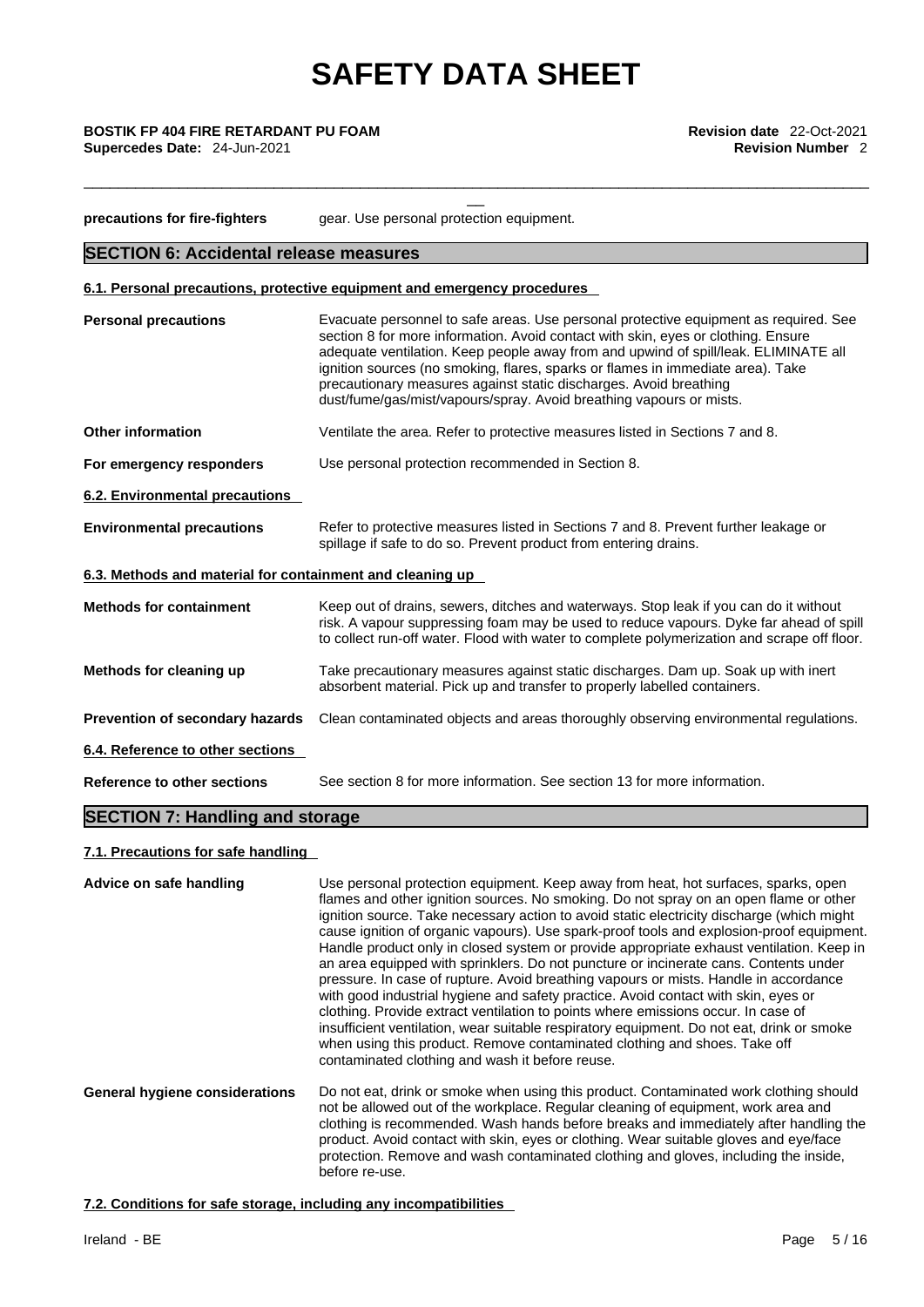\_\_\_\_\_\_\_\_\_\_\_\_\_\_\_\_\_\_\_\_\_\_\_\_\_\_\_\_\_\_\_\_\_\_\_\_\_\_\_\_\_\_\_\_\_\_\_\_\_\_\_\_\_\_\_\_\_\_\_\_\_\_\_\_\_\_\_\_\_\_\_\_\_\_\_\_\_\_\_\_\_\_\_\_\_\_\_\_\_\_\_

**Supercedes Date:** 24-Jun-2021 **Revision Number** 2

**precautions for fire-fighters** gear. Use personal protection equipment. **SECTION 6: Accidental release measures 6.1. Personal precautions, protective equipment and emergency procedures Personal precautions** Evacuate personnel to safe areas. Use personal protective equipment as required. See section 8 for more information. Avoid contact with skin, eyes or clothing. Ensure adequate ventilation. Keep people away from and upwind of spill/leak. ELIMINATE all ignition sources (no smoking, flares, sparks or flames in immediate area). Take precautionary measures against static discharges. Avoid breathing dust/fume/gas/mist/vapours/spray. Avoid breathing vapours or mists. **Other information** Ventilate the area. Refer to protective measures listed in Sections 7 and 8. **For emergency responders** Use personal protection recommended in Section 8. **6.2. Environmental precautions Environmental precautions** Refer to protective measures listed in Sections 7 and 8. Prevent further leakage or spillage if safe to do so. Prevent product from entering drains. **6.3. Methods and material for containment and cleaning up Methods for containment** Keep out of drains, sewers, ditches and waterways.Stop leak if you can do it without risk. A vapour suppressing foam may be used to reduce vapours. Dyke far ahead of spill to collect run-off water. Flood with water to complete polymerization and scrape off floor. **Methods for cleaning up** Take precautionary measures against static discharges. Dam up. Soak up with inert absorbent material. Pick up and transfer to properly labelled containers. **Prevention of secondary hazards** Clean contaminated objects and areas thoroughly observing environmental regulations. **6.4. Reference to other sections Reference to other sections** See section 8 for more information. See section 13 for more information. **SECTION 7: Handling and storage 7.1. Precautions for safe handling** 

**Advice on safe handling** Use personal protection equipment. Keep away from heat, hot surfaces, sparks, open flames and other ignition sources. No smoking. Do not spray on an open flame or other ignition source. Take necessary action to avoid static electricity discharge (which might cause ignition of organic vapours). Use spark-proof tools and explosion-proof equipment. Handle product only in closed system or provide appropriate exhaust ventilation. Keep in an area equipped with sprinklers. Do not puncture or incinerate cans. Contents under pressure. In case of rupture. Avoid breathing vapours or mists. Handle in accordance with good industrial hygiene and safety practice. Avoid contact with skin, eyes or clothing. Provide extract ventilation to points where emissions occur. In case of insufficient ventilation, wear suitable respiratory equipment. Do not eat, drink or smoke when using this product. Remove contaminated clothing and shoes. Take off contaminated clothing and wash it before reuse. **General hygiene considerations** Do not eat, drink or smoke when using this product. Contaminated work clothing should not be allowed out of the workplace. Regular cleaning of equipment, work area and clothing is recommended. Wash hands before breaks and immediately after handling the product. Avoid contact with skin, eyes or clothing. Wear suitable gloves and eye/face protection. Remove and wash contaminated clothing and gloves, including the inside, before re-use.

**7.2. Conditions for safe storage, including any incompatibilities**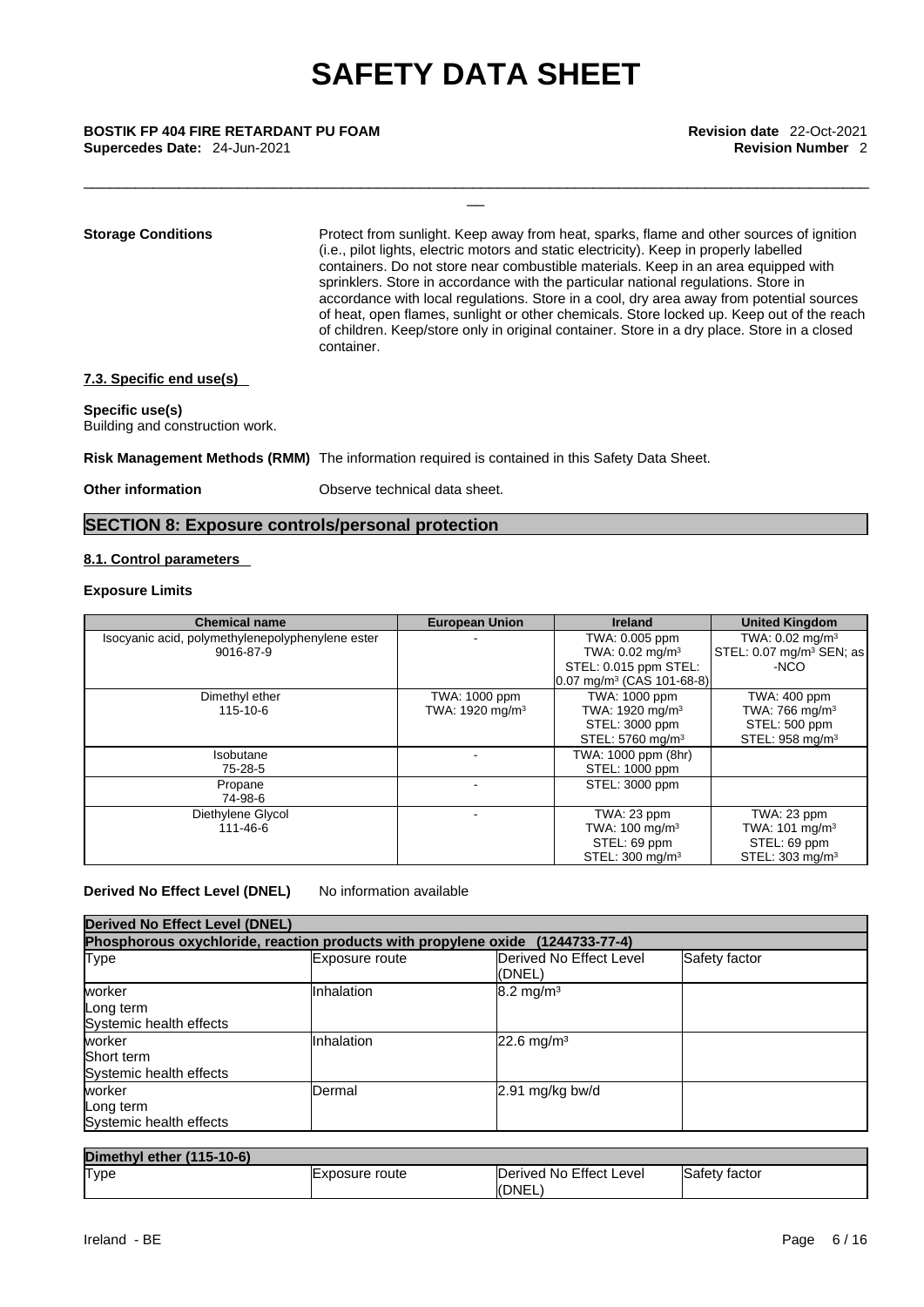\_\_\_\_\_\_\_\_\_\_\_\_\_\_\_\_\_\_\_\_\_\_\_\_\_\_\_\_\_\_\_\_\_\_\_\_\_\_\_\_\_\_\_\_\_\_\_\_\_\_\_\_\_\_\_\_\_\_\_\_\_\_\_\_\_\_\_\_\_\_\_\_\_\_\_\_\_\_\_\_\_\_\_\_\_\_\_\_\_\_\_

**Storage Conditions** Protect from sunlight. Keep away from heat, sparks, flame and other sources of ignition (i.e., pilot lights, electric motors and static electricity). Keep in properly labelled containers. Do not store near combustible materials. Keep in an area equipped with sprinklers. Store in accordance with the particular national regulations. Store in accordance with local regulations. Store in a cool, dry area away from potential sources of heat, open flames, sunlight or other chemicals. Store locked up. Keep out of the reach of children. Keep/store only in original container. Store in a dry place. Store in a closed container.

### **7.3. Specific end use(s)**

### **Specific use(s)**

Building and construction work.

**Risk Management Methods (RMM)** The information required is contained in this Safety Data Sheet.

**Other information** Observe technical data sheet.

### **SECTION 8: Exposure controls/personal protection**

### **8.1. Control parameters**

### **Exposure Limits**

| <b>Chemical name</b>                             | <b>European Union</b>       | <b>Ireland</b>                       | <b>United Kingdom</b>                |
|--------------------------------------------------|-----------------------------|--------------------------------------|--------------------------------------|
| Isocyanic acid, polymethylenepolyphenylene ester |                             | TWA: 0.005 ppm                       | TWA: $0.02 \text{ mg/m}^3$           |
| 9016-87-9                                        |                             | TWA: $0.02 \text{ mg/m}^3$           | STEL: 0.07 mg/m <sup>3</sup> SEN; as |
|                                                  |                             | STEL: 0.015 ppm STEL:                | -NCO                                 |
|                                                  |                             | $0.07 \text{ mg/m}^3$ (CAS 101-68-8) |                                      |
| Dimethyl ether                                   | TWA: 1000 ppm               | TWA: 1000 ppm                        | TWA: 400 ppm                         |
| 115-10-6                                         | TWA: 1920 mg/m <sup>3</sup> | TWA: 1920 mg/m <sup>3</sup>          | TWA: 766 mg/m $3$                    |
|                                                  |                             | STEL: 3000 ppm                       | STEL: 500 ppm                        |
|                                                  |                             | STEL: 5760 mg/m <sup>3</sup>         | STEL: 958 mg/m <sup>3</sup>          |
| Isobutane                                        |                             | TWA: 1000 ppm (8hr)                  |                                      |
| 75-28-5                                          |                             | STEL: 1000 ppm                       |                                      |
| Propane                                          |                             | STEL: 3000 ppm                       |                                      |
| 74-98-6                                          |                             |                                      |                                      |
| Diethylene Glycol                                |                             | TWA: 23 ppm                          | TWA: 23 ppm                          |
| 111-46-6                                         |                             | TWA: $100 \text{ mg/m}^3$            | TWA: $101 \text{ mg/m}^3$            |
|                                                  |                             | STEL: 69 ppm                         | STEL: 69 ppm                         |
|                                                  |                             | STEL: 300 mg/m <sup>3</sup>          | STEL: 303 mg/m <sup>3</sup>          |

### **Derived No Effect Level (DNEL)** No information available

| <b>Derived No Effect Level (DNEL)</b>                                          |                |                                   |               |
|--------------------------------------------------------------------------------|----------------|-----------------------------------|---------------|
| Phosphorous oxychloride, reaction products with propylene oxide (1244733-77-4) |                |                                   |               |
| Type                                                                           | Exposure route | Derived No Effect Level<br>(DNEL) | Safety factor |
| worker<br>Long term<br>Systemic health effects                                 | Inhalation     | $8.2 \text{ mg/m}^3$              |               |
| worker<br>Short term<br>Systemic health effects                                | Inhalation     | $22.6$ mg/m <sup>3</sup>          |               |
| worker<br>Long term<br>Systemic health effects                                 | <b>IDermal</b> | $2.91$ mg/kg bw/d                 |               |

| Dimethyl ether (115-10-6) |                        |                                   |                      |
|---------------------------|------------------------|-----------------------------------|----------------------|
| <b>Type</b>               | <b>L</b> xposure route | Derived No Effect Level<br>(DNEL) | <b>Safety factor</b> |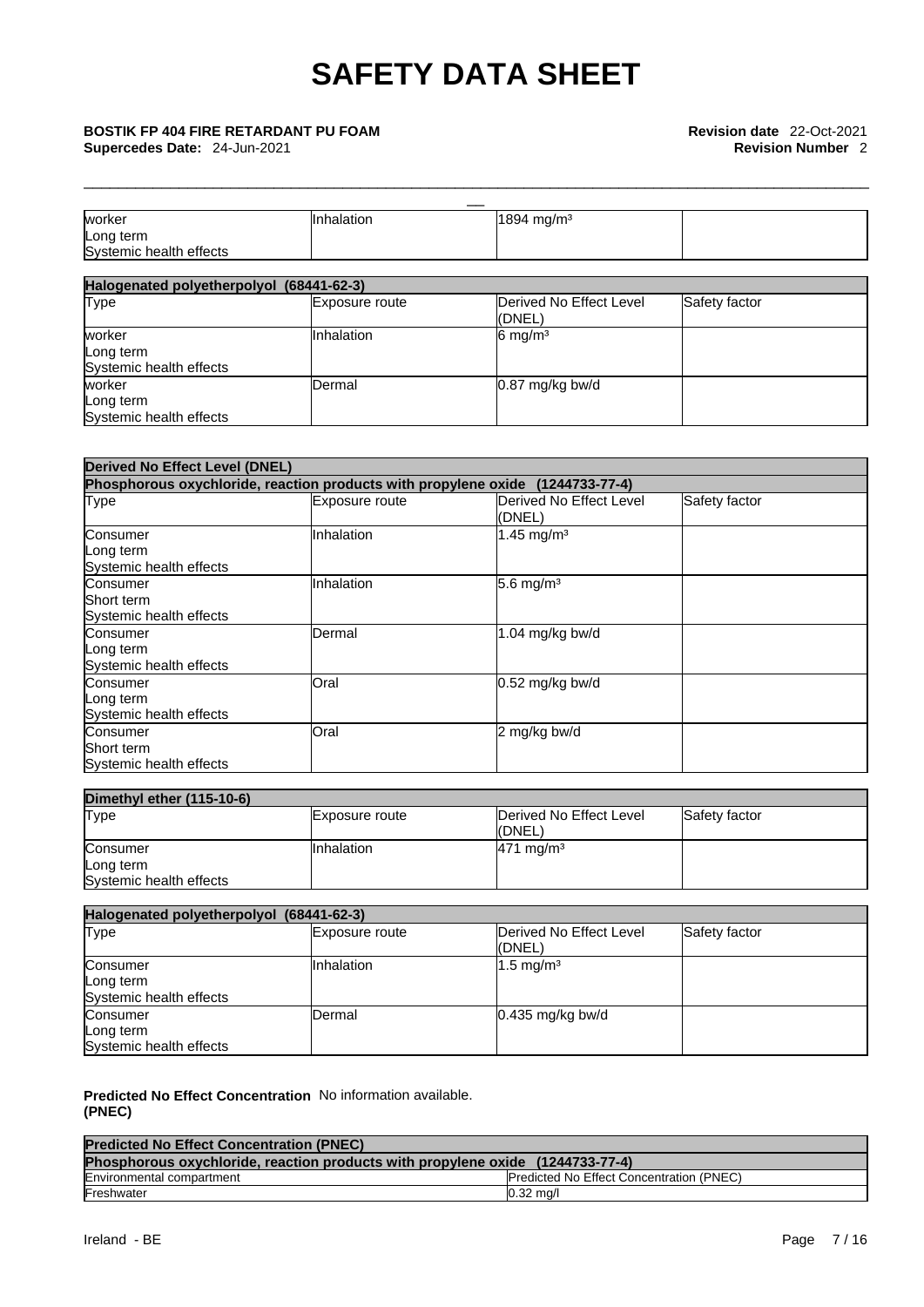\_\_\_\_\_\_\_\_\_\_\_\_\_\_\_\_\_\_\_\_\_\_\_\_\_\_\_\_\_\_\_\_\_\_\_\_\_\_\_\_\_\_\_\_\_\_\_\_\_\_\_\_\_\_\_\_\_\_\_\_\_\_\_\_\_\_\_\_\_\_\_\_\_\_\_\_\_\_\_\_\_\_\_\_\_\_\_\_\_\_\_

Long term Systemic health effects **Systemic** health effects

**Supercedes Date:** 24-Jun-2021 **Revision Number** 2

| worker                                   | Inhalation     | 1894 mg/m <sup>3</sup>  |               |
|------------------------------------------|----------------|-------------------------|---------------|
| Long term                                |                |                         |               |
| Systemic health effects                  |                |                         |               |
|                                          |                |                         |               |
| Halogenated polyetherpolyol (68441-62-3) |                |                         |               |
| <b>Type</b>                              | Exposure route | Derived No Effect Level | Safety factor |
|                                          |                | (DNEL)                  |               |
| worker                                   | Inhalation     | $6 \text{ mg/m}^3$      |               |
| Long term                                |                |                         |               |
| Systemic health effects                  |                |                         |               |
| worker                                   | Dermal         | 0.87 mg/kg bw/d         |               |

| <b>Derived No Effect Level (DNEL)</b>                                          |                |                                   |               |
|--------------------------------------------------------------------------------|----------------|-----------------------------------|---------------|
| Phosphorous oxychloride, reaction products with propylene oxide (1244733-77-4) |                |                                   |               |
| <b>Type</b>                                                                    | Exposure route | Derived No Effect Level<br>(DNEL) | Safety factor |
| Consumer<br>Long term<br>Systemic health effects                               | Inhalation     | 1.45 mg/m <sup>3</sup>            |               |
| Consumer<br>Short term<br>Systemic health effects                              | Inhalation     | 5.6 mg/ $m3$                      |               |
| Consumer<br>Long term<br>Systemic health effects                               | Dermal         | 1.04 mg/kg bw/d                   |               |
| Consumer<br>Long term<br>Systemic health effects                               | Oral           | 0.52 mg/kg bw/d                   |               |
| Consumer<br>Short term<br>Systemic health effects                              | <b>Oral</b>    | 2 mg/kg bw/d                      |               |

| Dimethyl ether (115-10-6) |                |                                    |               |
|---------------------------|----------------|------------------------------------|---------------|
| Type                      | Exposure route | Derived No Effect Level<br>((DNEL) | Safety factor |
| Consumer                  | IInhalation    | $471$ mg/m <sup>3</sup>            |               |
| Long term                 |                |                                    |               |
| Systemic health effects   |                |                                    |               |

| Halogenated polyetherpolyol (68441-62-3)         |                   |                                    |               |
|--------------------------------------------------|-------------------|------------------------------------|---------------|
| Type                                             | Exposure route    | Derived No Effect Level<br>l(DNEL) | Safety factor |
| Consumer<br>Long term<br>Systemic health effects | <b>Inhalation</b> | $1.5 \text{ mg/m}^3$               |               |
| Consumer<br>Long term<br>Systemic health effects | Dermal            | $0.435$ mg/kg bw/d                 |               |

**Predicted No Effect Concentration** No information available. **(PNEC)** 

| <b>Predicted No Effect Concentration (PNEC)</b>                                |                                                 |
|--------------------------------------------------------------------------------|-------------------------------------------------|
| Phosphorous oxychloride, reaction products with propylene oxide (1244733-77-4) |                                                 |
| Environmental compartment                                                      | <b>Predicted No Effect Concentration (PNEC)</b> |
| Freshwater                                                                     | $0.32 \text{ ma/l}$                             |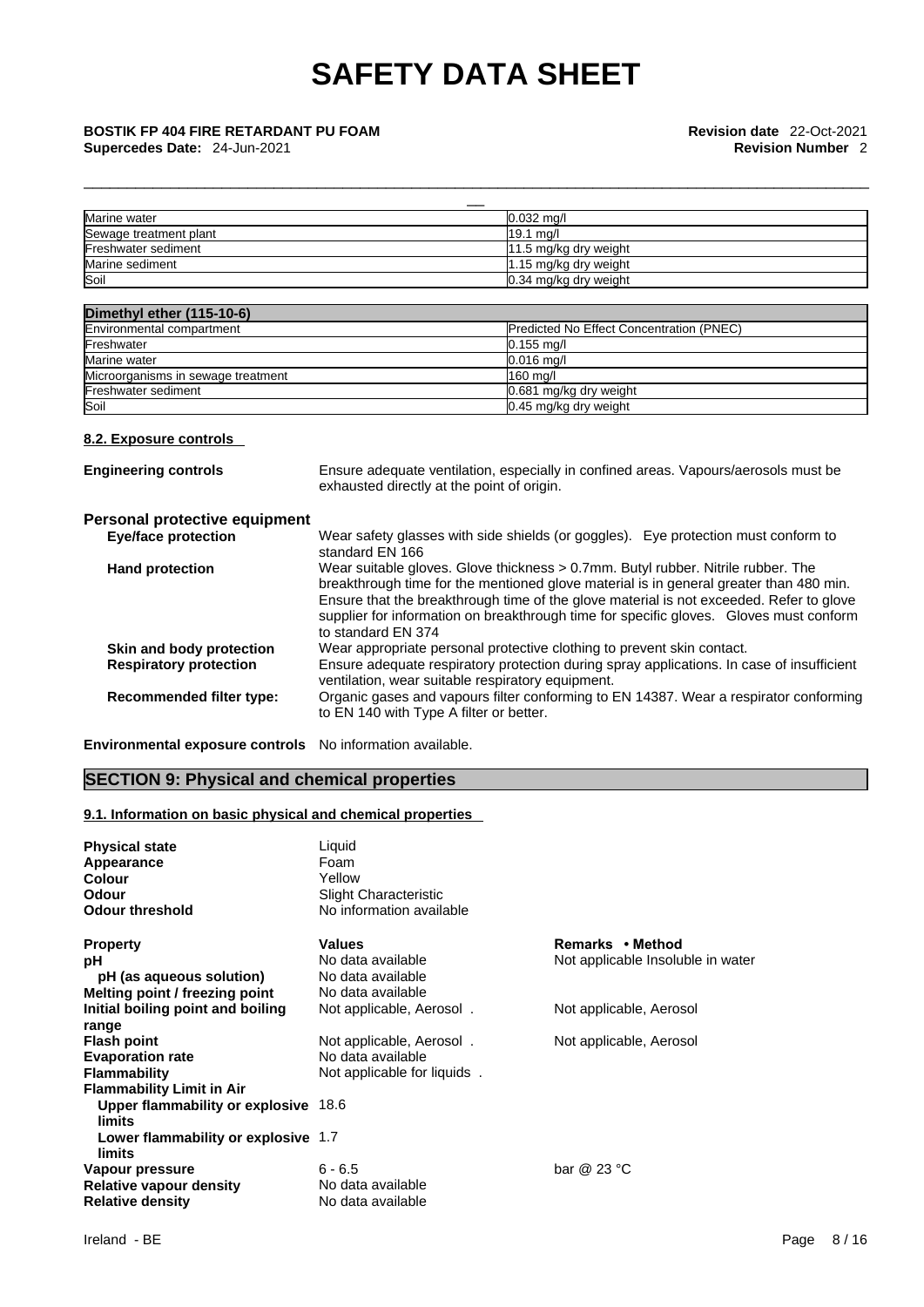\_\_\_\_\_\_\_\_\_\_\_\_\_\_\_\_\_\_\_\_\_\_\_\_\_\_\_\_\_\_\_\_\_\_\_\_\_\_\_\_\_\_\_\_\_\_\_\_\_\_\_\_\_\_\_\_\_\_\_\_\_\_\_\_\_\_\_\_\_\_\_\_\_\_\_\_\_\_\_\_\_\_\_\_\_\_\_\_\_\_\_

| Marine water                                              |                                            | $0.032$ mg/l                                                                                                                                                                                                                                                                                                                                                    |  |  |
|-----------------------------------------------------------|--------------------------------------------|-----------------------------------------------------------------------------------------------------------------------------------------------------------------------------------------------------------------------------------------------------------------------------------------------------------------------------------------------------------------|--|--|
| Sewage treatment plant                                    |                                            | 19.1 ma/l                                                                                                                                                                                                                                                                                                                                                       |  |  |
| Freshwater sediment                                       |                                            | 11.5 mg/kg dry weight                                                                                                                                                                                                                                                                                                                                           |  |  |
| Marine sediment                                           |                                            | 1.15 mg/kg dry weight                                                                                                                                                                                                                                                                                                                                           |  |  |
| Soil                                                      |                                            | 0.34 mg/kg dry weight                                                                                                                                                                                                                                                                                                                                           |  |  |
|                                                           |                                            |                                                                                                                                                                                                                                                                                                                                                                 |  |  |
| Dimethyl ether (115-10-6)                                 |                                            |                                                                                                                                                                                                                                                                                                                                                                 |  |  |
| Environmental compartment                                 |                                            | Predicted No Effect Concentration (PNEC)                                                                                                                                                                                                                                                                                                                        |  |  |
| Freshwater                                                |                                            | $0.155$ mg/l                                                                                                                                                                                                                                                                                                                                                    |  |  |
| Marine water                                              |                                            | $0.016$ mg/l                                                                                                                                                                                                                                                                                                                                                    |  |  |
| Microorganisms in sewage treatment                        |                                            | 160 mg/l                                                                                                                                                                                                                                                                                                                                                        |  |  |
| Freshwater sediment                                       |                                            | 0.681 mg/kg dry weight                                                                                                                                                                                                                                                                                                                                          |  |  |
| Soil                                                      |                                            | 0.45 mg/kg dry weight                                                                                                                                                                                                                                                                                                                                           |  |  |
|                                                           | exhausted directly at the point of origin. |                                                                                                                                                                                                                                                                                                                                                                 |  |  |
| Personal protective equipment                             |                                            |                                                                                                                                                                                                                                                                                                                                                                 |  |  |
| <b>Eye/face protection</b>                                | standard EN 166                            | Wear safety glasses with side shields (or goggles). Eye protection must conform to                                                                                                                                                                                                                                                                              |  |  |
| <b>Hand protection</b>                                    | to standard EN 374                         | Wear suitable gloves. Glove thickness > 0.7mm. Butyl rubber. Nitrile rubber. The<br>breakthrough time for the mentioned glove material is in general greater than 480 min.<br>Ensure that the breakthrough time of the glove material is not exceeded. Refer to glove<br>supplier for information on breakthrough time for specific gloves. Gloves must conform |  |  |
| Skin and body protection<br><b>Respiratory protection</b> |                                            | Wear appropriate personal protective clothing to prevent skin contact.<br>Ensure adequate respiratory protection during spray applications. In case of insufficient<br>ventilation, wear suitable respiratory equipment.                                                                                                                                        |  |  |
| Recommended filter type:                                  | to EN 140 with Type A filter or better.    | Organic gases and vapours filter conforming to EN 14387. Wear a respirator conforming                                                                                                                                                                                                                                                                           |  |  |
|                                                           |                                            |                                                                                                                                                                                                                                                                                                                                                                 |  |  |

**Environmental exposure controls** No information available.

## **SECTION 9: Physical and chemical properties**

### **9.1. Information on basic physical and chemical properties**

| <b>Physical state</b><br>Appearance<br><b>Colour</b><br>Odour<br><b>Odour threshold</b> | Liquid<br>Foam<br>Yellow<br>Slight Characteristic<br>No information available |                                   |
|-----------------------------------------------------------------------------------------|-------------------------------------------------------------------------------|-----------------------------------|
| <b>Property</b>                                                                         | <b>Values</b>                                                                 | Remarks • Method                  |
| рH                                                                                      | No data available                                                             | Not applicable Insoluble in water |
| pH (as aqueous solution)                                                                | No data available                                                             |                                   |
| Melting point / freezing point                                                          | No data available                                                             |                                   |
| Initial boiling point and boiling                                                       | Not applicable, Aerosol.                                                      | Not applicable, Aerosol           |
| range<br><b>Flash point</b>                                                             | Not applicable, Aerosol.                                                      | Not applicable, Aerosol           |
| <b>Evaporation rate</b>                                                                 | No data available                                                             |                                   |
| <b>Flammability</b>                                                                     | Not applicable for liquids.                                                   |                                   |
| <b>Flammability Limit in Air</b>                                                        |                                                                               |                                   |
| Upper flammability or explosive 18.6<br>limits                                          |                                                                               |                                   |
| Lower flammability or explosive 1.7<br>limits                                           |                                                                               |                                   |
| Vapour pressure                                                                         | $6 - 6.5$                                                                     | bar $@23 °C$                      |
| <b>Relative vapour density</b>                                                          | No data available                                                             |                                   |
| <b>Relative density</b>                                                                 | No data available                                                             |                                   |
|                                                                                         |                                                                               |                                   |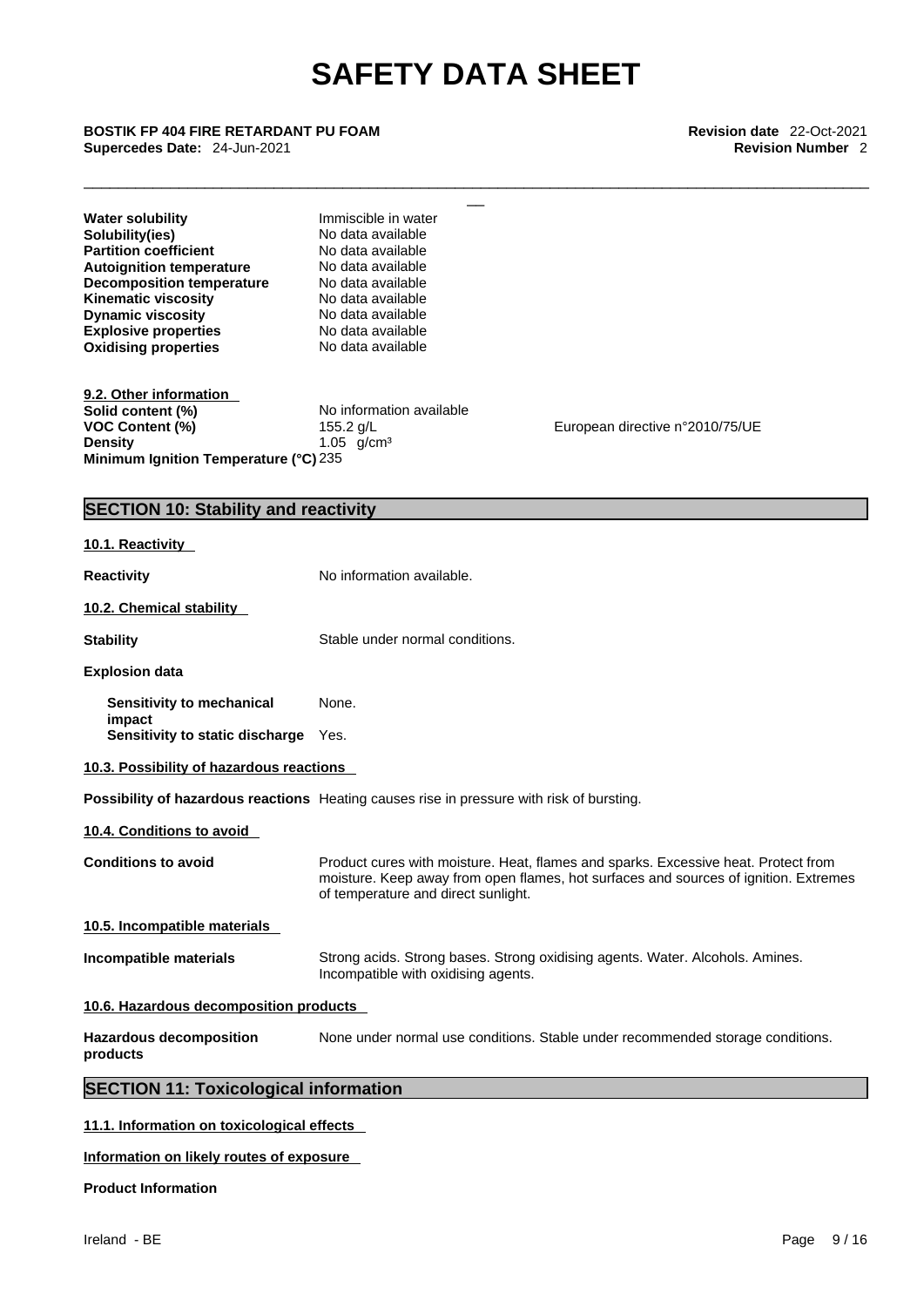## **Supercedes Date:** 24-Jun-2021 **Revision Number** 2

| <b>BOSTIK FP 404 FIRE RETARDANT PU FOAM</b><br>Supercedes Date: 24-Jun-2021                                                                                                                                                                                               |                                                                                                                                                                                             | Revision date 22-Oct-2021<br><b>Revision Number 2</b>                                                                                                                      |
|---------------------------------------------------------------------------------------------------------------------------------------------------------------------------------------------------------------------------------------------------------------------------|---------------------------------------------------------------------------------------------------------------------------------------------------------------------------------------------|----------------------------------------------------------------------------------------------------------------------------------------------------------------------------|
| <b>Water solubility</b><br>Solubility(ies)<br><b>Partition coefficient</b><br><b>Autoignition temperature</b><br><b>Decomposition temperature</b><br><b>Kinematic viscosity</b><br><b>Dynamic viscosity</b><br><b>Explosive properties</b><br><b>Oxidising properties</b> | Immiscible in water<br>No data available<br>No data available<br>No data available<br>No data available<br>No data available<br>No data available<br>No data available<br>No data available |                                                                                                                                                                            |
| 9.2. Other information<br>Solid content (%)<br><b>VOC Content (%)</b><br><b>Density</b><br>Minimum Ignition Temperature (°C) 235                                                                                                                                          | No information available<br>155.2 g/L<br>1.05 $g/cm^3$                                                                                                                                      | European directive n°2010/75/UE                                                                                                                                            |
| <b>SECTION 10: Stability and reactivity</b>                                                                                                                                                                                                                               |                                                                                                                                                                                             |                                                                                                                                                                            |
| 10.1. Reactivity                                                                                                                                                                                                                                                          |                                                                                                                                                                                             |                                                                                                                                                                            |
| <b>Reactivity</b>                                                                                                                                                                                                                                                         | No information available.                                                                                                                                                                   |                                                                                                                                                                            |
| 10.2. Chemical stability                                                                                                                                                                                                                                                  |                                                                                                                                                                                             |                                                                                                                                                                            |
| <b>Stability</b>                                                                                                                                                                                                                                                          | Stable under normal conditions.                                                                                                                                                             |                                                                                                                                                                            |
| <b>Explosion data</b>                                                                                                                                                                                                                                                     |                                                                                                                                                                                             |                                                                                                                                                                            |
| Sensitivity to mechanical<br>impact<br>Sensitivity to static discharge Yes.                                                                                                                                                                                               | None.                                                                                                                                                                                       |                                                                                                                                                                            |
| 10.3. Possibility of hazardous reactions                                                                                                                                                                                                                                  |                                                                                                                                                                                             |                                                                                                                                                                            |
| Possibility of hazardous reactions Heating causes rise in pressure with risk of bursting.                                                                                                                                                                                 |                                                                                                                                                                                             |                                                                                                                                                                            |
| 10.4. Conditions to avoid                                                                                                                                                                                                                                                 |                                                                                                                                                                                             |                                                                                                                                                                            |
| <b>Conditions to avoid</b>                                                                                                                                                                                                                                                | of temperature and direct sunlight.                                                                                                                                                         | Product cures with moisture. Heat, flames and sparks. Excessive heat. Protect from<br>moisture. Keep away from open flames, hot surfaces and sources of ignition. Extremes |
| 10.5. Incompatible materials                                                                                                                                                                                                                                              |                                                                                                                                                                                             |                                                                                                                                                                            |
| Incompatible materials                                                                                                                                                                                                                                                    | Incompatible with oxidising agents.                                                                                                                                                         | Strong acids. Strong bases. Strong oxidising agents. Water. Alcohols. Amines.                                                                                              |
| 10.6. Hazardous decomposition products                                                                                                                                                                                                                                    |                                                                                                                                                                                             |                                                                                                                                                                            |
| <b>Hazardous decomposition</b><br>products                                                                                                                                                                                                                                |                                                                                                                                                                                             | None under normal use conditions. Stable under recommended storage conditions.                                                                                             |
| <b>SECTION 11: Toxicological information</b>                                                                                                                                                                                                                              |                                                                                                                                                                                             |                                                                                                                                                                            |
| 11.1. Information on toxicological effects                                                                                                                                                                                                                                |                                                                                                                                                                                             |                                                                                                                                                                            |
|                                                                                                                                                                                                                                                                           |                                                                                                                                                                                             |                                                                                                                                                                            |

## **Information on likely routes of exposure**

### **Product Information**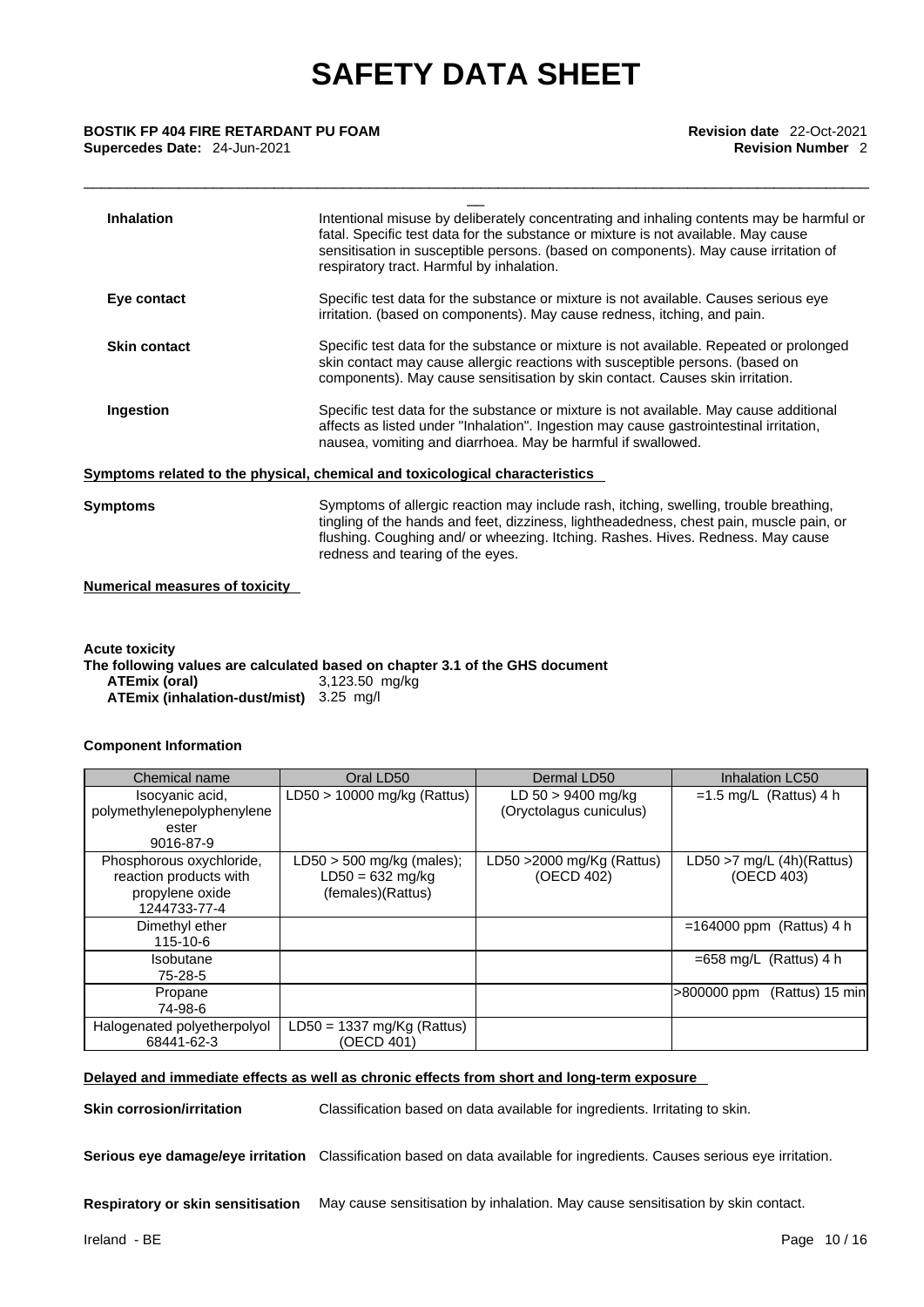| <b>Inhalation</b><br>Intentional misuse by deliberately concentrating and inhaling contents may be harmful or<br>fatal. Specific test data for the substance or mixture is not available. May cause<br>sensitisation in susceptible persons. (based on components). May cause irritation of<br>respiratory tract. Harmful by inhalation.<br>Specific test data for the substance or mixture is not available. Causes serious eye<br>Eye contact<br>irritation. (based on components). May cause redness, itching, and pain.<br>Specific test data for the substance or mixture is not available. Repeated or prolonged<br><b>Skin contact</b><br>skin contact may cause allergic reactions with susceptible persons. (based on<br>components). May cause sensitisation by skin contact. Causes skin irritation.<br>Specific test data for the substance or mixture is not available. May cause additional<br>Ingestion<br>affects as listed under "Inhalation". Ingestion may cause gastrointestinal irritation,<br>nausea, vomiting and diarrhoea. May be harmful if swallowed.<br>Symptoms related to the physical, chemical and toxicological characteristics<br>Symptoms of allergic reaction may include rash, itching, swelling, trouble breathing,<br>Symptoms<br>tingling of the hands and feet, dizziness, lightheadedness, chest pain, muscle pain, or<br>flushing. Coughing and/ or wheezing. Itching. Rashes. Hives. Redness. May cause | BOSTIK FP 404 FIRE RETARDANT PU FOAM<br>Supercedes Date: 24-Jun-2021 | <b>Revision date</b> 22-Oct-2021<br><b>Revision Number 2</b> |
|-----------------------------------------------------------------------------------------------------------------------------------------------------------------------------------------------------------------------------------------------------------------------------------------------------------------------------------------------------------------------------------------------------------------------------------------------------------------------------------------------------------------------------------------------------------------------------------------------------------------------------------------------------------------------------------------------------------------------------------------------------------------------------------------------------------------------------------------------------------------------------------------------------------------------------------------------------------------------------------------------------------------------------------------------------------------------------------------------------------------------------------------------------------------------------------------------------------------------------------------------------------------------------------------------------------------------------------------------------------------------------------------------------------------------------------------------------|----------------------------------------------------------------------|--------------------------------------------------------------|
|                                                                                                                                                                                                                                                                                                                                                                                                                                                                                                                                                                                                                                                                                                                                                                                                                                                                                                                                                                                                                                                                                                                                                                                                                                                                                                                                                                                                                                                     |                                                                      |                                                              |
|                                                                                                                                                                                                                                                                                                                                                                                                                                                                                                                                                                                                                                                                                                                                                                                                                                                                                                                                                                                                                                                                                                                                                                                                                                                                                                                                                                                                                                                     |                                                                      |                                                              |
|                                                                                                                                                                                                                                                                                                                                                                                                                                                                                                                                                                                                                                                                                                                                                                                                                                                                                                                                                                                                                                                                                                                                                                                                                                                                                                                                                                                                                                                     |                                                                      |                                                              |
|                                                                                                                                                                                                                                                                                                                                                                                                                                                                                                                                                                                                                                                                                                                                                                                                                                                                                                                                                                                                                                                                                                                                                                                                                                                                                                                                                                                                                                                     |                                                                      |                                                              |
|                                                                                                                                                                                                                                                                                                                                                                                                                                                                                                                                                                                                                                                                                                                                                                                                                                                                                                                                                                                                                                                                                                                                                                                                                                                                                                                                                                                                                                                     |                                                                      |                                                              |
|                                                                                                                                                                                                                                                                                                                                                                                                                                                                                                                                                                                                                                                                                                                                                                                                                                                                                                                                                                                                                                                                                                                                                                                                                                                                                                                                                                                                                                                     |                                                                      | redness and tearing of the eyes.                             |

**Numerical measures of toxicity**

**Acute toxicity The following values are calculated based on chapter 3.1 of the GHS document ATEmix (oral)** 3,123.50 mg/kg **ATEmix (inhalation-dust/mist)** 3.25 mg/l

### **Component Information**

| Chemical name                                                                                      | Oral LD50                                                              | Dermal LD50                                   | <b>Inhalation LC50</b>                    |
|----------------------------------------------------------------------------------------------------|------------------------------------------------------------------------|-----------------------------------------------|-------------------------------------------|
| Isocyanic acid,<br>polymethylenepolyphenylene<br>ester                                             | $LD50 > 10000$ mg/kg (Rattus)                                          | LD 50 > 9400 mg/kg<br>(Oryctolagus cuniculus) | $=1.5$ mg/L (Rattus) 4 h                  |
| 9016-87-9<br>Phosphorous oxychloride,<br>reaction products with<br>propylene oxide<br>1244733-77-4 | $LD50 > 500$ mg/kg (males);<br>$LD50 = 632$ mg/kg<br>(females)(Rattus) | LD50 $>$ 2000 mg/Kg (Rattus)<br>(OECD 402)    | LD50 $>7$ mg/L (4h)(Rattus)<br>(OECD 403) |
| Dimethyl ether<br>115-10-6                                                                         |                                                                        |                                               | $=164000$ ppm (Rattus) 4 h                |
| <b>Isobutane</b><br>75-28-5                                                                        |                                                                        |                                               | $=658$ mg/L (Rattus) 4 h                  |
| Propane<br>74-98-6                                                                                 |                                                                        |                                               | $>800000$ ppm (Rattus) 15 min             |
| Halogenated polyetherpolyol<br>68441-62-3                                                          | $LD50 = 1337 mg/Kg (Rattus)$<br>(OECD 401)                             |                                               |                                           |

### **Delayed and immediate effects as well as chronic effects from short and long-term exposure**

**Skin corrosion/irritation** Classification based on data available for ingredients. Irritating to skin.

**Serious eye damage/eye irritation** Classification based on data available for ingredients. Causes serious eye irritation.

**Respiratory or skin sensitisation** May cause sensitisation by inhalation. May cause sensitisation by skin contact.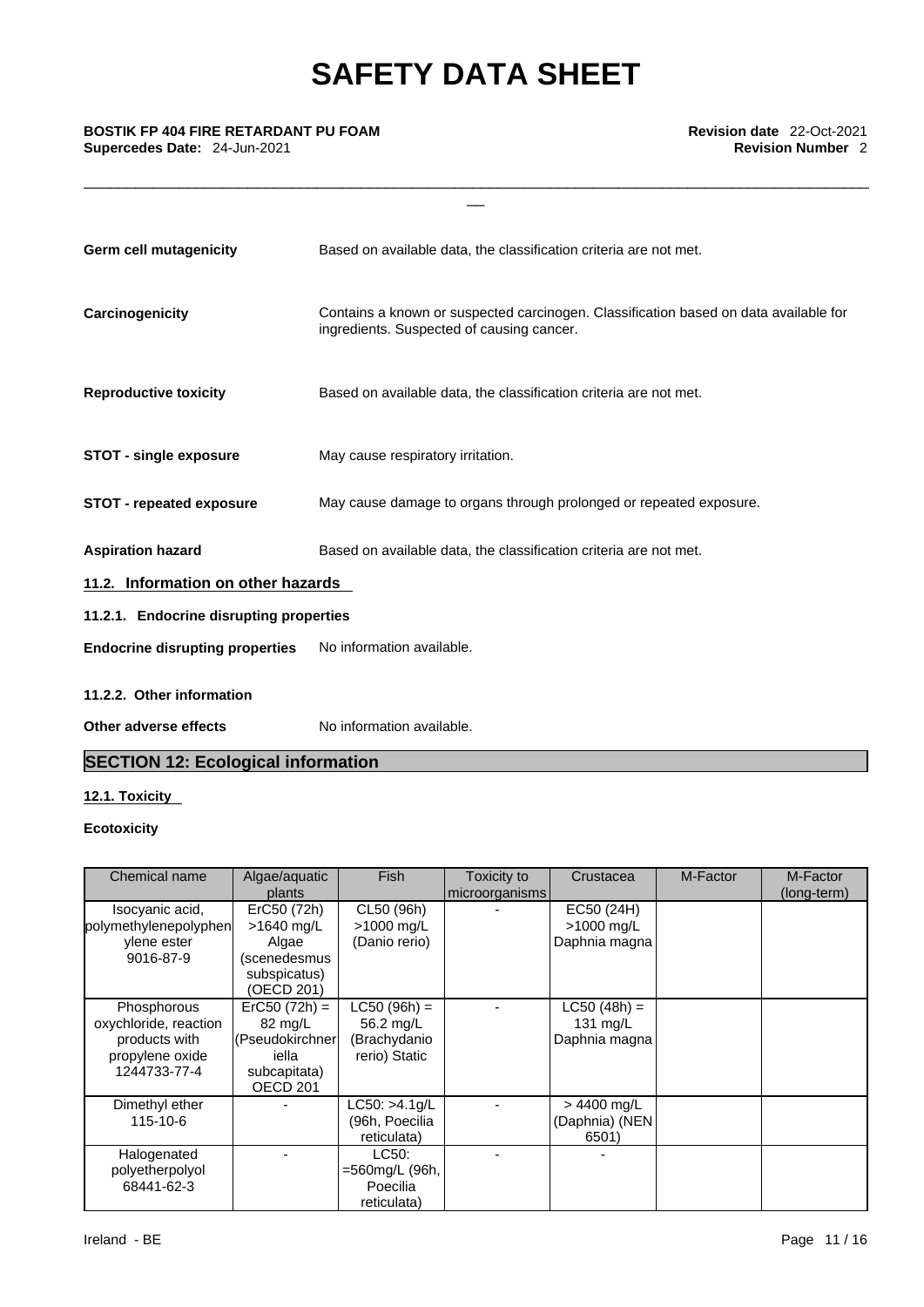\_\_\_\_\_\_\_\_\_\_\_\_\_\_\_\_\_\_\_\_\_\_\_\_\_\_\_\_\_\_\_\_\_\_\_\_\_\_\_\_\_\_\_\_\_\_\_\_\_\_\_\_\_\_\_\_\_\_\_\_\_\_\_\_\_\_\_\_\_\_\_\_\_\_\_\_\_\_\_\_\_\_\_\_\_\_\_\_\_\_\_

| <b>Germ cell mutagenicity</b>           | Based on available data, the classification criteria are not met.                                                                 |  |  |  |
|-----------------------------------------|-----------------------------------------------------------------------------------------------------------------------------------|--|--|--|
| Carcinogenicity                         | Contains a known or suspected carcinogen. Classification based on data available for<br>ingredients. Suspected of causing cancer. |  |  |  |
| <b>Reproductive toxicity</b>            | Based on available data, the classification criteria are not met.                                                                 |  |  |  |
| <b>STOT - single exposure</b>           | May cause respiratory irritation.                                                                                                 |  |  |  |
| <b>STOT - repeated exposure</b>         | May cause damage to organs through prolonged or repeated exposure.                                                                |  |  |  |
| <b>Aspiration hazard</b>                | Based on available data, the classification criteria are not met.                                                                 |  |  |  |
| 11.2. Information on other hazards      |                                                                                                                                   |  |  |  |
| 11.2.1. Endocrine disrupting properties |                                                                                                                                   |  |  |  |
| <b>Endocrine disrupting properties</b>  | No information available.                                                                                                         |  |  |  |
| $11.22$ Other information               |                                                                                                                                   |  |  |  |

## **11.2.2. Other information**

**Other adverse effects** No information available.

## **SECTION 12: Ecological information**

### **12.1. Toxicity**

### **Ecotoxicity**

| Chemical name         | Algae/aquatic       | <b>Fish</b>    | Toxicity to    | Crustacea      | M-Factor | M-Factor    |
|-----------------------|---------------------|----------------|----------------|----------------|----------|-------------|
|                       | plants              |                | microorganisms |                |          | (long-term) |
| Isocyanic acid,       | ErC50 (72h)         | CL50 (96h)     |                | EC50 (24H)     |          |             |
| polymethylenepolyphen | >1640 mg/L          | >1000 mg/L     |                | >1000 mg/L     |          |             |
| ylene ester           | Algae               | (Danio rerio)  |                | Daphnia magna  |          |             |
| 9016-87-9             | (scenedesmus        |                |                |                |          |             |
|                       | subspicatus)        |                |                |                |          |             |
|                       | (OECD 201)          |                |                |                |          |             |
| Phosphorous           | $ErC50 (72h) =$     | $LC50 (96h) =$ |                | $LC50 (48h) =$ |          |             |
| oxychloride, reaction | 82 mg/L             | 56.2 mg/L      |                | 131 $mg/L$     |          |             |
| products with         | (Pseudokirchner)    | (Brachydanio   |                | Daphnia magna  |          |             |
| propylene oxide       | iella               | rerio) Static  |                |                |          |             |
| 1244733-77-4          | subcapitata)        |                |                |                |          |             |
|                       | OECD <sub>201</sub> |                |                |                |          |             |
| Dimethyl ether        |                     | LC50: >4.1q/L  |                | $> 4400$ mg/L  |          |             |
| 115-10-6              |                     | (96h, Poecilia |                | (Daphnia) (NEN |          |             |
|                       |                     | reticulata)    |                | 6501)          |          |             |
| Halogenated           |                     | LC50:          |                |                |          |             |
| polyetherpolyol       |                     | =560mg/L (96h, |                |                |          |             |
| 68441-62-3            |                     | Poecilia       |                |                |          |             |
|                       |                     | reticulata)    |                |                |          |             |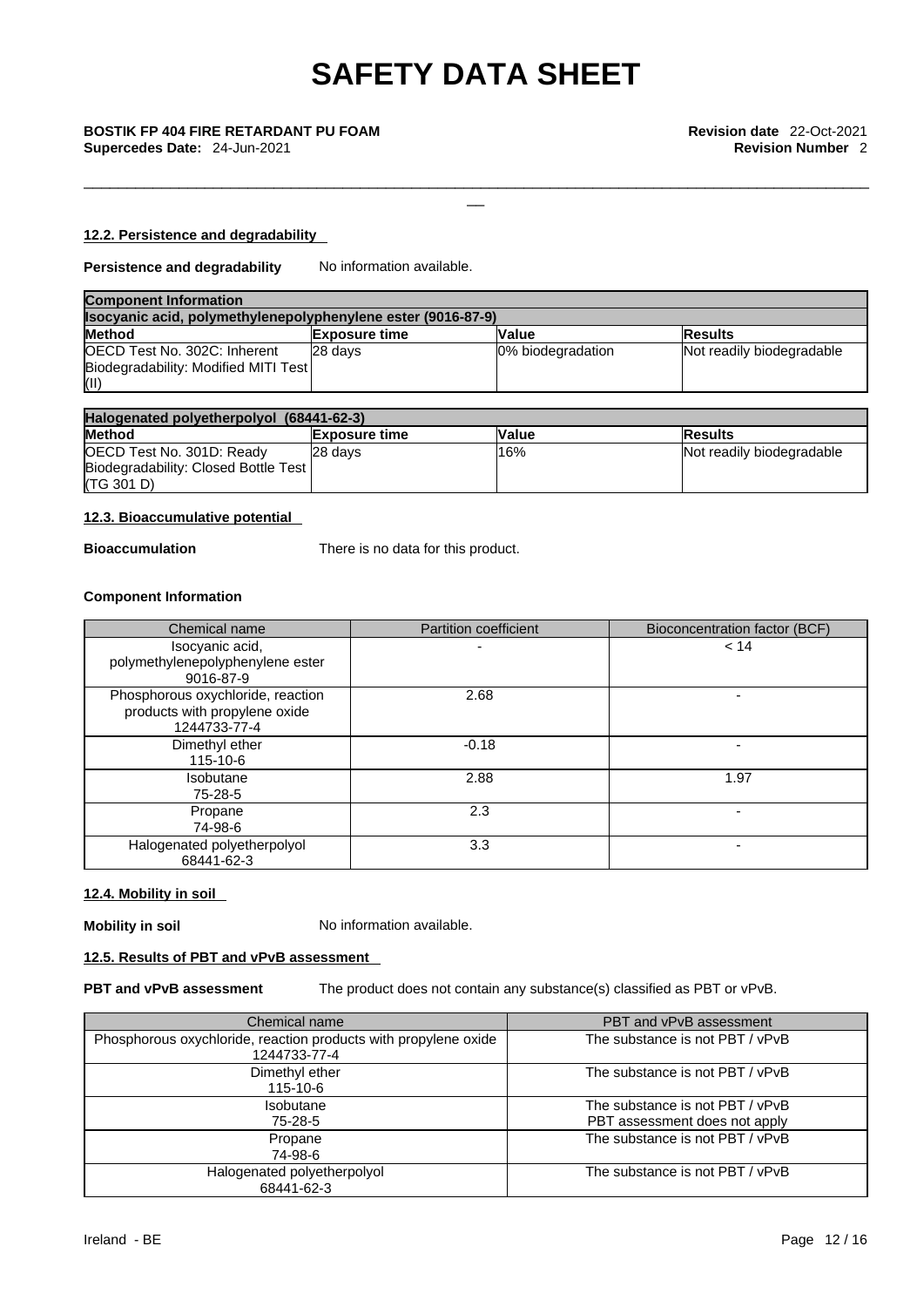\_\_\_\_\_\_\_\_\_\_\_\_\_\_\_\_\_\_\_\_\_\_\_\_\_\_\_\_\_\_\_\_\_\_\_\_\_\_\_\_\_\_\_\_\_\_\_\_\_\_\_\_\_\_\_\_\_\_\_\_\_\_\_\_\_\_\_\_\_\_\_\_\_\_\_\_\_\_\_\_\_\_\_\_\_\_\_\_\_\_\_

### **12.2. Persistence and degradability**

**Persistence and degradability** No information available.

| <b>Component Information</b>                                 |                      |                   |                           |  |
|--------------------------------------------------------------|----------------------|-------------------|---------------------------|--|
| Isocyanic acid, polymethylenepolyphenylene ester (9016-87-9) |                      |                   |                           |  |
| <b>Method</b>                                                | <b>Exposure time</b> | Value             | <b>Results</b>            |  |
| OECD Test No. 302C: Inherent                                 | 28 davs              | 0% biodegradation | Not readily biodegradable |  |
| Biodegradability: Modified MITI Test                         |                      |                   |                           |  |
| (II)                                                         |                      |                   |                           |  |

| Halogenated polyetherpolyol (68441-62-3) |                      |              |                           |
|------------------------------------------|----------------------|--------------|---------------------------|
| <b>Method</b>                            | <b>Exposure time</b> | <b>Value</b> | <b>IResults</b>           |
| OECD Test No. 301D: Ready                | 28 davs              | 16%          | Not readily biodegradable |
| Biodegradability: Closed Bottle Test     |                      |              |                           |
| (TG 301 D)                               |                      |              |                           |

### **12.3. Bioaccumulative potential**

**Bioaccumulation** There is no data for this product.

### **Component Information**

| Chemical name                                                                      | <b>Partition coefficient</b> | Bioconcentration factor (BCF) |
|------------------------------------------------------------------------------------|------------------------------|-------------------------------|
| Isocyanic acid,<br>polymethylenepolyphenylene ester<br>9016-87-9                   |                              | < 14                          |
| Phosphorous oxychloride, reaction<br>products with propylene oxide<br>1244733-77-4 | 2.68                         |                               |
| Dimethyl ether<br>115-10-6                                                         | $-0.18$                      |                               |
| <b>Isobutane</b><br>75-28-5                                                        | 2.88                         | 1.97                          |
| Propane<br>74-98-6                                                                 | 2.3                          |                               |
| Halogenated polyetherpolyol<br>68441-62-3                                          | 3.3                          |                               |

### **12.4. Mobility in soil**

**Mobility in soil** No information available.

### **12.5. Results of PBT and vPvB assessment**

**PBT and vPvB assessment** The product does not contain any substance(s) classified as PBT or vPvB.

| Chemical name                                                                   | PBT and vPvB assessment                                          |
|---------------------------------------------------------------------------------|------------------------------------------------------------------|
| Phosphorous oxychloride, reaction products with propylene oxide<br>1244733-77-4 | The substance is not PBT / vPvB                                  |
| Dimethyl ether<br>$115 - 10 - 6$                                                | The substance is not PBT / vPvB                                  |
| <b>Isobutane</b><br>75-28-5                                                     | The substance is not PBT / vPvB<br>PBT assessment does not apply |
| Propane<br>74-98-6                                                              | The substance is not PBT / vPvB                                  |
| Halogenated polyetherpolyol<br>68441-62-3                                       | The substance is not PBT / vPvB                                  |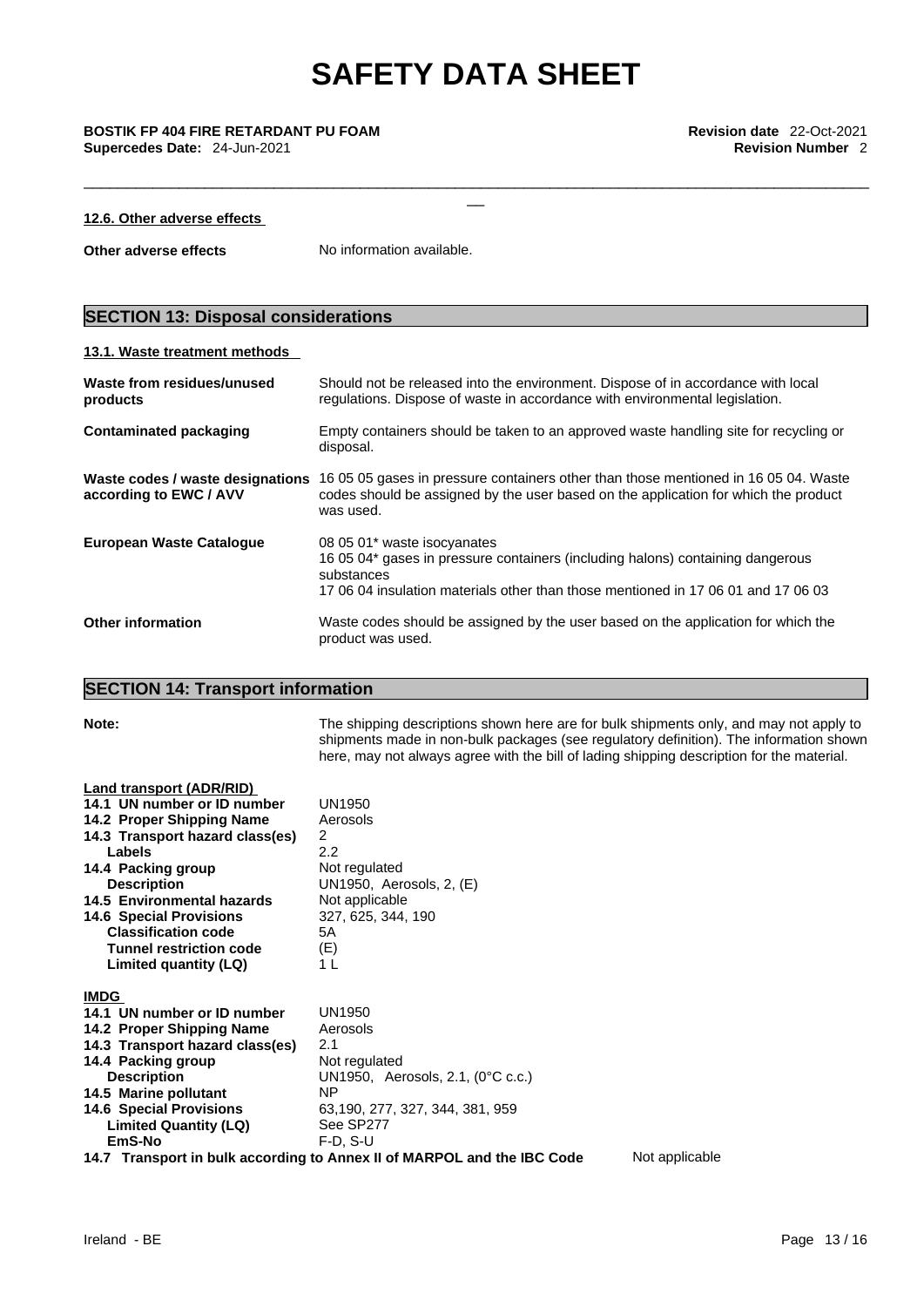\_\_\_\_\_\_\_\_\_\_\_\_\_\_\_\_\_\_\_\_\_\_\_\_\_\_\_\_\_\_\_\_\_\_\_\_\_\_\_\_\_\_\_\_\_\_\_\_\_\_\_\_\_\_\_\_\_\_\_\_\_\_\_\_\_\_\_\_\_\_\_\_\_\_\_\_\_\_\_\_\_\_\_\_\_\_\_\_\_\_\_

### **12.6. Other adverse effects**

**Other adverse effects** No information available.

## **SECTION 13: Disposal considerations**

## **13.1. Waste treatment methods**

| Waste from residues/unused<br>products                     | Should not be released into the environment. Dispose of in accordance with local<br>regulations. Dispose of waste in accordance with environmental legislation.                                                  |
|------------------------------------------------------------|------------------------------------------------------------------------------------------------------------------------------------------------------------------------------------------------------------------|
| <b>Contaminated packaging</b>                              | Empty containers should be taken to an approved waste handling site for recycling or<br>disposal.                                                                                                                |
| Waste codes / waste designations<br>according to EWC / AVV | 16 05 05 gases in pressure containers other than those mentioned in 16 05 04. Waste<br>codes should be assigned by the user based on the application for which the product<br>was used.                          |
| <b>European Waste Catalogue</b>                            | 08 05 01* waste isocyanates<br>16 05 04* gases in pressure containers (including halons) containing dangerous<br>substances<br>17,06,04 insulation materials other than those mentioned in 17,06,01 and 17,06,03 |
| <b>Other information</b>                                   | Waste codes should be assigned by the user based on the application for which the<br>product was used.                                                                                                           |

## **SECTION 14: Transport information**

| Note:                                                                                                                                                                                                                                                                                                                                  | The shipping descriptions shown here are for bulk shipments only, and may not apply to<br>shipments made in non-bulk packages (see regulatory definition). The information shown<br>here, may not always agree with the bill of lading shipping description for the material. |
|----------------------------------------------------------------------------------------------------------------------------------------------------------------------------------------------------------------------------------------------------------------------------------------------------------------------------------------|-------------------------------------------------------------------------------------------------------------------------------------------------------------------------------------------------------------------------------------------------------------------------------|
| Land transport (ADR/RID)<br>14.1 UN number or ID number<br>14.2 Proper Shipping Name<br>14.3 Transport hazard class(es)<br>Labels<br>14.4 Packing group<br><b>Description</b><br>14.5 Environmental hazards<br><b>14.6 Special Provisions</b><br><b>Classification code</b><br><b>Tunnel restriction code</b><br>Limited quantity (LQ) | UN1950<br>Aerosols<br>2<br>2.2<br>Not regulated<br>UN1950, Aerosols, 2, (E)<br>Not applicable<br>327, 625, 344, 190<br>5А<br>(F)<br>1 <sub>L</sub>                                                                                                                            |
| <b>IMDG</b><br>14.1 UN number or ID number<br>14.2 Proper Shipping Name<br>14.3 Transport hazard class(es)<br>14.4 Packing group<br><b>Description</b><br>14.5 Marine pollutant<br><b>14.6 Special Provisions</b><br><b>Limited Quantity (LQ)</b><br>EmS-No                                                                            | <b>UN1950</b><br>Aerosols<br>2.1<br>Not regulated<br>UN1950, Aerosols, 2.1, $(0^{\circ}C \nc.c.)$<br>ΝP<br>63,190, 277, 327, 344, 381, 959<br>See SP277<br>$F-D, S-U$<br>14.7 Transport in bulk according to Annex II of MARPOL and the IBC Code<br>Not applicable            |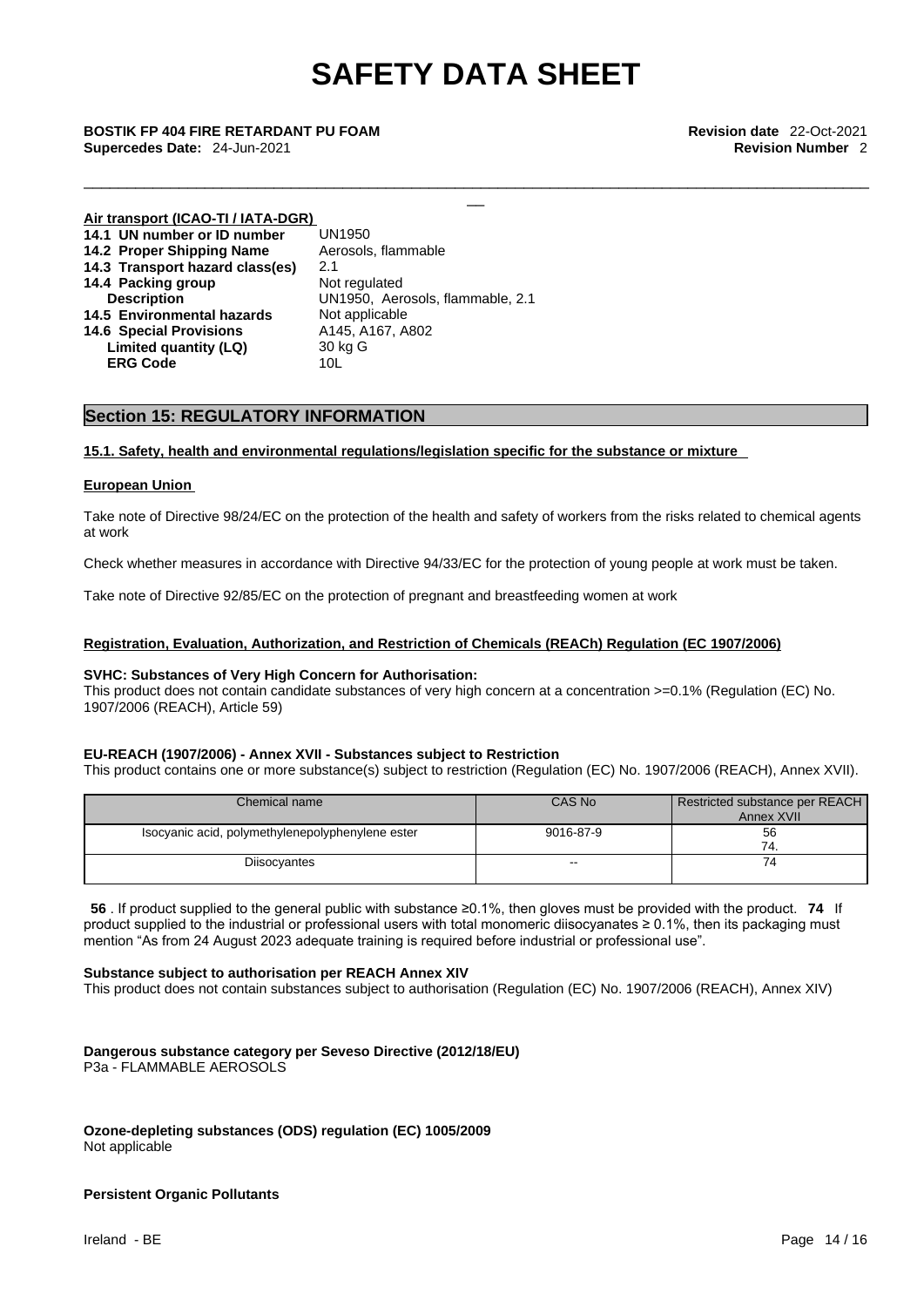\_\_\_\_\_\_\_\_\_\_\_\_\_\_\_\_\_\_\_\_\_\_\_\_\_\_\_\_\_\_\_\_\_\_\_\_\_\_\_\_\_\_\_\_\_\_\_\_\_\_\_\_\_\_\_\_\_\_\_\_\_\_\_\_\_\_\_\_\_\_\_\_\_\_\_\_\_\_\_\_\_\_\_\_\_\_\_\_\_\_\_

\_\_ **BOSTIK FP <sup>404</sup> FIRE RETARDANT PU FOAM Revision date** 22-Oct-2021 **Supercedes Date:** 24-Jun-2021 **Revision Number** 2

| Air transport (ICAO-TI / IATA-DGR) |                                  |
|------------------------------------|----------------------------------|
| 14.1 UN number or ID number        | UN1950                           |
| 14.2 Proper Shipping Name          | Aerosols, flammable              |
| 14.3 Transport hazard class(es)    | 2.1                              |
| 14.4 Packing group                 | Not regulated                    |
| <b>Description</b>                 | UN1950, Aerosols, flammable, 2.1 |
| 14.5 Environmental hazards         | Not applicable                   |
| <b>14.6 Special Provisions</b>     | A145, A167, A802                 |
| Limited quantity (LQ)              | 30 kg G                          |
| <b>ERG Code</b>                    | 10L                              |

### **Section 15: REGULATORY INFORMATION**

### **15.1. Safety, health and environmental regulations/legislation specific for the substance or mixture**

### **European Union**

Take note of Directive 98/24/EC on the protection of the health and safety of workers from the risks related to chemical agents at work

Check whether measures in accordance with Directive 94/33/EC for the protection of young people at work must be taken.

Take note of Directive 92/85/EC on the protection of pregnant and breastfeeding women at work

### **Registration, Evaluation, Authorization, and Restriction of Chemicals (REACh) Regulation (EC 1907/2006)**

### **SVHC: Substances of Very High Concern for Authorisation:**

This product does not contain candidate substances of very high concern at a concentration >=0.1% (Regulation (EC) No. 1907/2006 (REACH), Article 59)

### **EU-REACH (1907/2006) - Annex XVII - Substances subject to Restriction**

This product contains one or more substance(s) subject to restriction (Regulation (EC) No. 1907/2006 (REACH), Annex XVII).

| Chemical name                                    | CAS No    | Restricted substance per REACH I<br>Annex XVII |
|--------------------------------------------------|-----------|------------------------------------------------|
| Isocyanic acid, polymethylenepolyphenylene ester | 9016-87-9 | 56<br>74                                       |
| Diisocyantes                                     | $- -$     | 74                                             |

**56** . If product supplied to the general public with substance ≥0.1%, then gloves must be provided with the product. **74** If product supplied to the industrial or professional users with total monomeric diisocyanates ≥ 0.1%, then its packaging must mention "As from 24 August 2023 adequate training is required before industrial or professional use".

### **Substance subject to authorisation per REACH Annex XIV**

This product does not contain substances subject to authorisation (Regulation (EC) No. 1907/2006 (REACH), Annex XIV)

### **Dangerous substance category per Seveso Directive (2012/18/EU)** P3a - FLAMMABLE AEROSOLS

**Ozone-depleting substances (ODS) regulation (EC) 1005/2009** Not applicable

### **Persistent Organic Pollutants**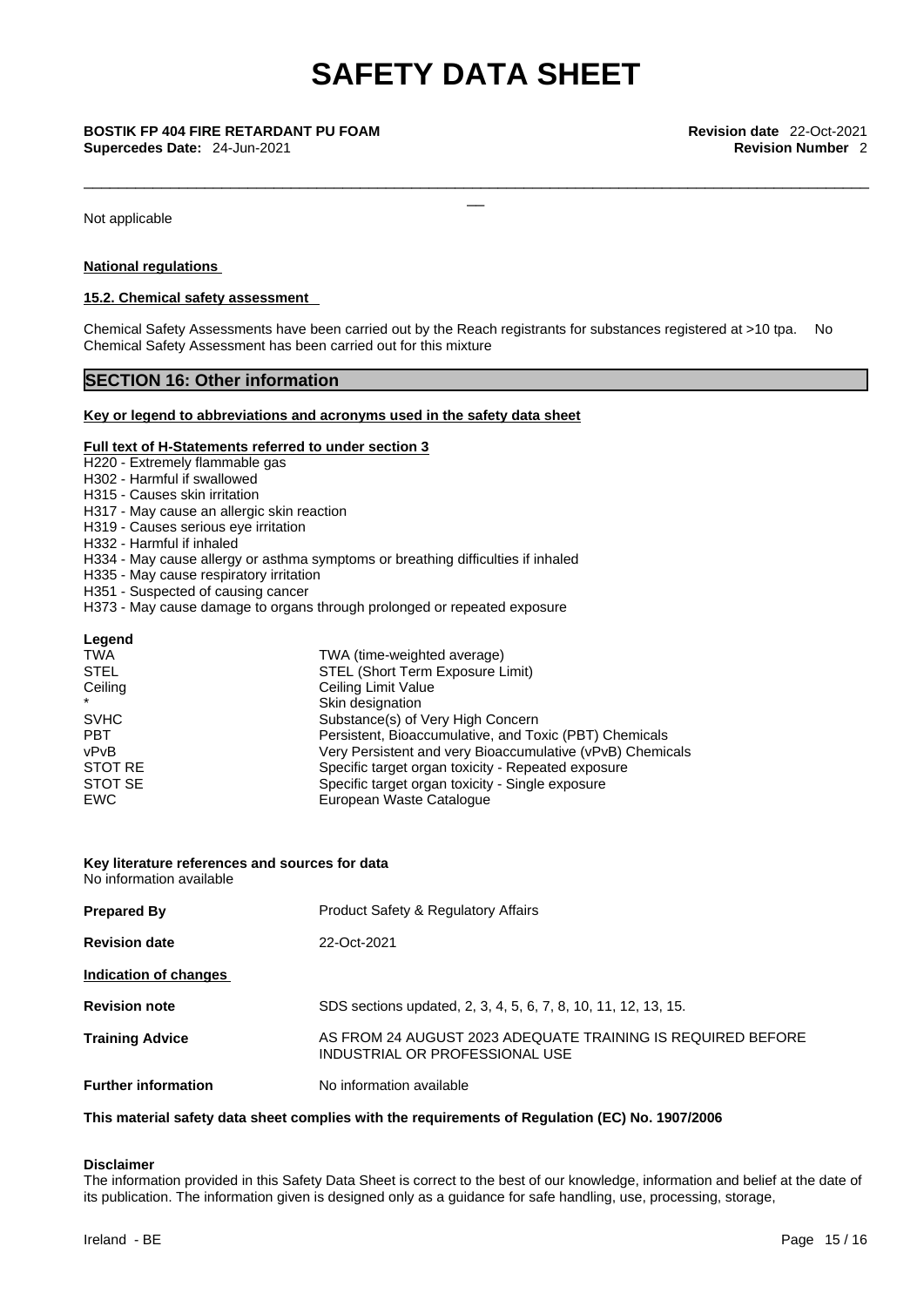\_\_\_\_\_\_\_\_\_\_\_\_\_\_\_\_\_\_\_\_\_\_\_\_\_\_\_\_\_\_\_\_\_\_\_\_\_\_\_\_\_\_\_\_\_\_\_\_\_\_\_\_\_\_\_\_\_\_\_\_\_\_\_\_\_\_\_\_\_\_\_\_\_\_\_\_\_\_\_\_\_\_\_\_\_\_\_\_\_\_\_

**Supercedes Date:** 24-Jun-2021 **Revision Number** 2

Not applicable

### **National regulations**

### **15.2. Chemical safety assessment**

Chemical Safety Assessments have been carried out by the Reach registrants for substances registered at >10 tpa. No Chemical Safety Assessment has been carried out for this mixture

### **SECTION 16: Other information**

### **Key or legend to abbreviations and acronyms used in the safety data sheet**

### **Full text of H-Statements referred to under section 3**

- H220 Extremely flammable gas
- H302 Harmful if swallowed
- H315 Causes skin irritation
- H317 May cause an allergic skin reaction
- H319 Causes serious eye irritation
- H332 Harmful if inhaled
- H334 May cause allergy or asthma symptoms or breathing difficulties if inhaled
- H335 May cause respiratory irritation
- H351 Suspected of causing cancer
- H373 May cause damage to organs through prolonged or repeated exposure

### **Legend**

| <b>TWA</b>  | TWA (time-weighted average)                               |
|-------------|-----------------------------------------------------------|
| <b>STEL</b> | STEL (Short Term Exposure Limit)                          |
| Ceiling     | Ceiling Limit Value                                       |
| $\star$     | Skin designation                                          |
| <b>SVHC</b> | Substance(s) of Very High Concern                         |
| <b>PBT</b>  | Persistent, Bioaccumulative, and Toxic (PBT) Chemicals    |
| vPvB        | Very Persistent and very Bioaccumulative (vPvB) Chemicals |
| STOT RE     | Specific target organ toxicity - Repeated exposure        |
| STOT SE     | Specific target organ toxicity - Single exposure          |
| EWC         | European Waste Catalogue                                  |

### **Key literature references and sources for data**

No information available

| <b>Prepared By</b>         | <b>Product Safety &amp; Regulatory Affairs</b>                                                |
|----------------------------|-----------------------------------------------------------------------------------------------|
| <b>Revision date</b>       | 22-Oct-2021                                                                                   |
| Indication of changes      |                                                                                               |
| <b>Revision note</b>       | SDS sections updated, 2, 3, 4, 5, 6, 7, 8, 10, 11, 12, 13, 15.                                |
| <b>Training Advice</b>     | AS FROM 24 AUGUST 2023 ADEQUATE TRAINING IS REQUIRED BEFORE<br>INDUSTRIAL OR PROFESSIONAL USE |
| <b>Further information</b> | No information available                                                                      |

### **This material safety data sheet complies with the requirements of Regulation (EC) No. 1907/2006**

### **Disclaimer**

The information provided in this Safety Data Sheet is correct to the best of our knowledge, information and belief at the date of its publication. The information given is designed only as a guidance for safe handling, use, processing, storage,